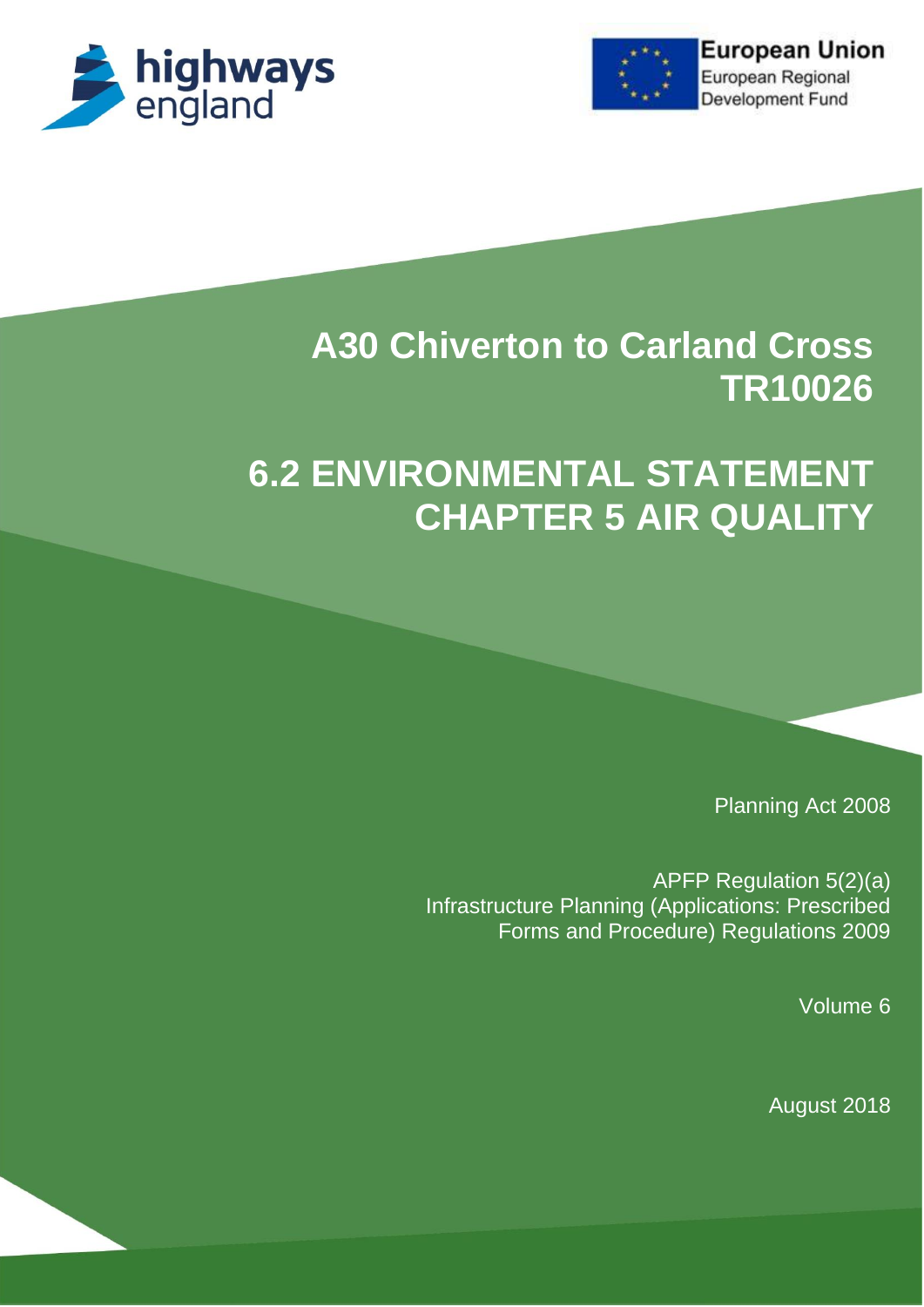



# **A30 Chiverton to Carland Cross TR10026**

# **6.2 ENVIRONMENTAL STATEMENT CHAPTER 5 AIR QUALITY**

Planning Act 2008

APFP Regulation 5(2)(a) Infrastructure Planning (Applications: Prescribed Forms and Procedure) Regulations 2009

Volume 6

August 2018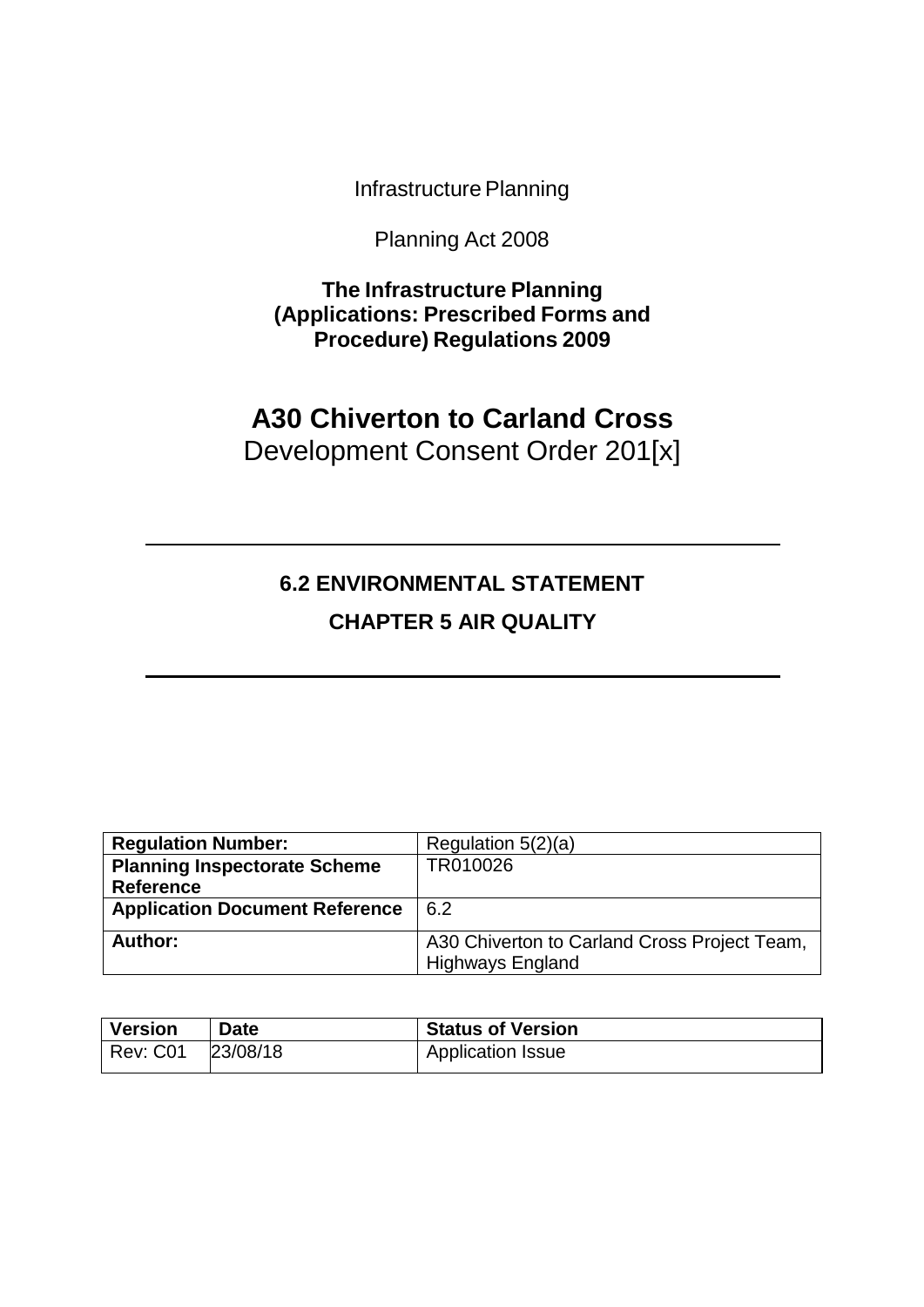Infrastructure Planning

Planning Act 2008

**The Infrastructure Planning (Applications: Prescribed Forms and Procedure) Regulations 2009**

# **A30 Chiverton to Carland Cross** Development Consent Order 201[x]

# **6.2 ENVIRONMENTAL STATEMENT CHAPTER 5 AIR QUALITY**

| <b>Regulation Number:</b>             | Regulation $5(2)(a)$                                                    |
|---------------------------------------|-------------------------------------------------------------------------|
| <b>Planning Inspectorate Scheme</b>   | TR010026                                                                |
| <b>Reference</b>                      |                                                                         |
| <b>Application Document Reference</b> | 6.2                                                                     |
| Author:                               | A30 Chiverton to Carland Cross Project Team,<br><b>Highways England</b> |

| Version  | <b>Date</b> | <b>Status of Version</b> |
|----------|-------------|--------------------------|
| Rev: C01 | 23/08/18    | <b>Application Issue</b> |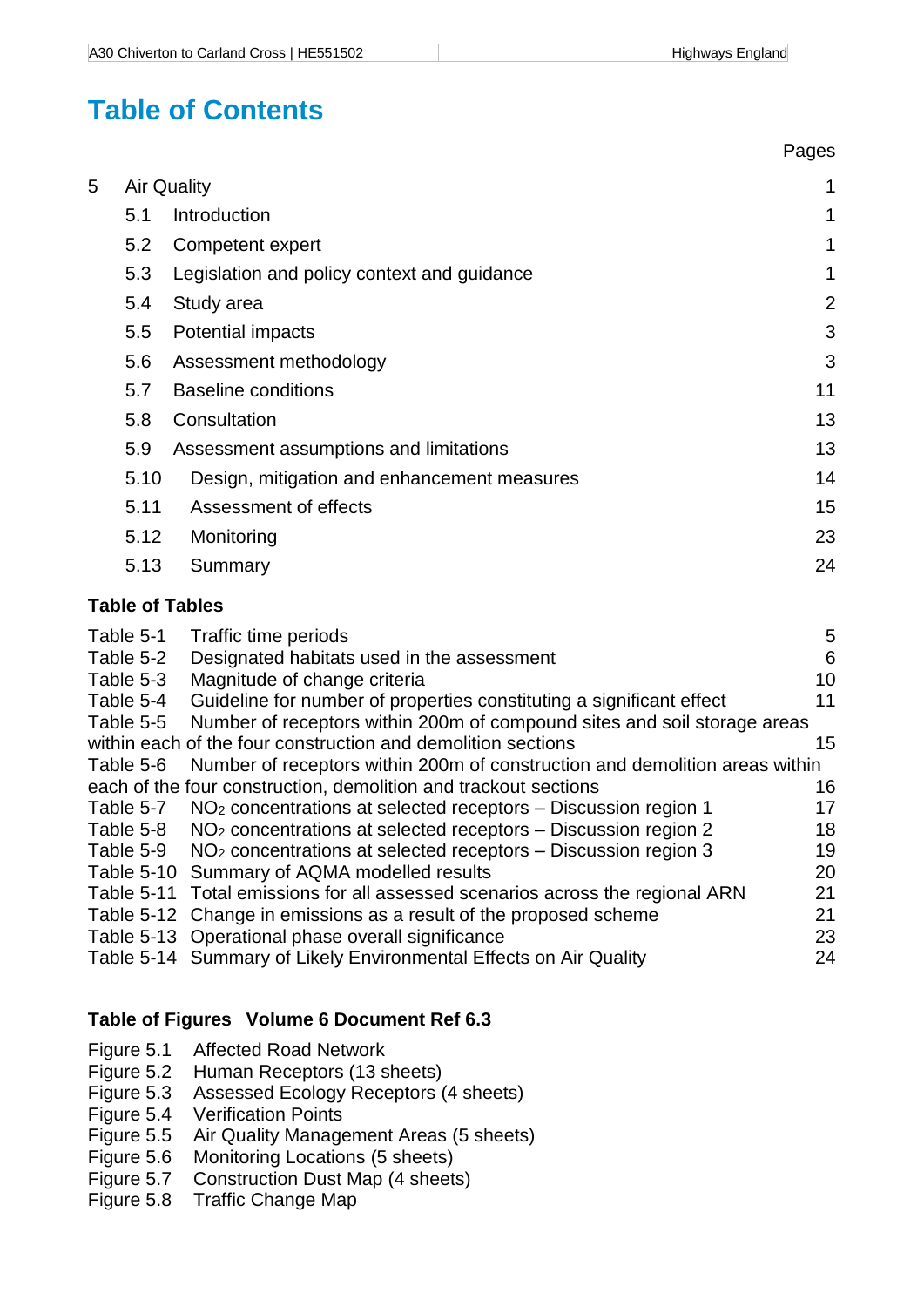Pages

# **Table of Contents**

|   |                    |                                             | . agoo         |
|---|--------------------|---------------------------------------------|----------------|
| 5 | <b>Air Quality</b> | 1                                           |                |
|   | 5.1                | Introduction                                | 1              |
|   | 5.2                | Competent expert                            | 1              |
|   | 5.3                | Legislation and policy context and guidance | 1              |
|   | 5.4                | Study area                                  | $\overline{2}$ |
|   | 5.5                | Potential impacts                           | 3              |
|   | 5.6                | Assessment methodology                      | 3              |
|   | 5.7                | <b>Baseline conditions</b>                  | 11             |
|   | 5.8                | Consultation                                | 13             |
|   | 5.9                | Assessment assumptions and limitations      | 13             |
|   | 5.10               | Design, mitigation and enhancement measures | 14             |
|   | 5.11               | Assessment of effects                       | 15             |
|   | 5.12               | Monitoring                                  | 23             |
|   | 5.13               | Summary                                     | 24             |
|   |                    | <b>Table of Tables</b>                      |                |

| 5                                                                           |
|-----------------------------------------------------------------------------|
| 6                                                                           |
| 10                                                                          |
| 11                                                                          |
| Number of receptors within 200m of compound sites and soil storage areas    |
| 15                                                                          |
| Number of receptors within 200m of construction and demolition areas within |
| 16                                                                          |
| 17                                                                          |
| 18                                                                          |
| 19                                                                          |
| 20                                                                          |
| 21                                                                          |
| 21                                                                          |
| 23                                                                          |
| 24                                                                          |
|                                                                             |

# **Table of Figures Volume 6 Document Ref 6.3**

- Figure 5.1 Affected Road Network<br>Figure 5.2 Human Receptors (13 s
- Figure 5.2 Human Receptors (13 sheets)<br>Figure 5.3 Assessed Ecology Receptors (
- Assessed Ecology Receptors (4 sheets)
- 
- Figure 5.4 Verification Points<br>Figure 5.5 Air Quality Manage Air Quality Management Areas (5 sheets)
- Figure 5.6 Monitoring Locations (5 sheets)
- Figure 5.7 Construction Dust Map (4 sheets)
- Figure 5.8 Traffic Change Map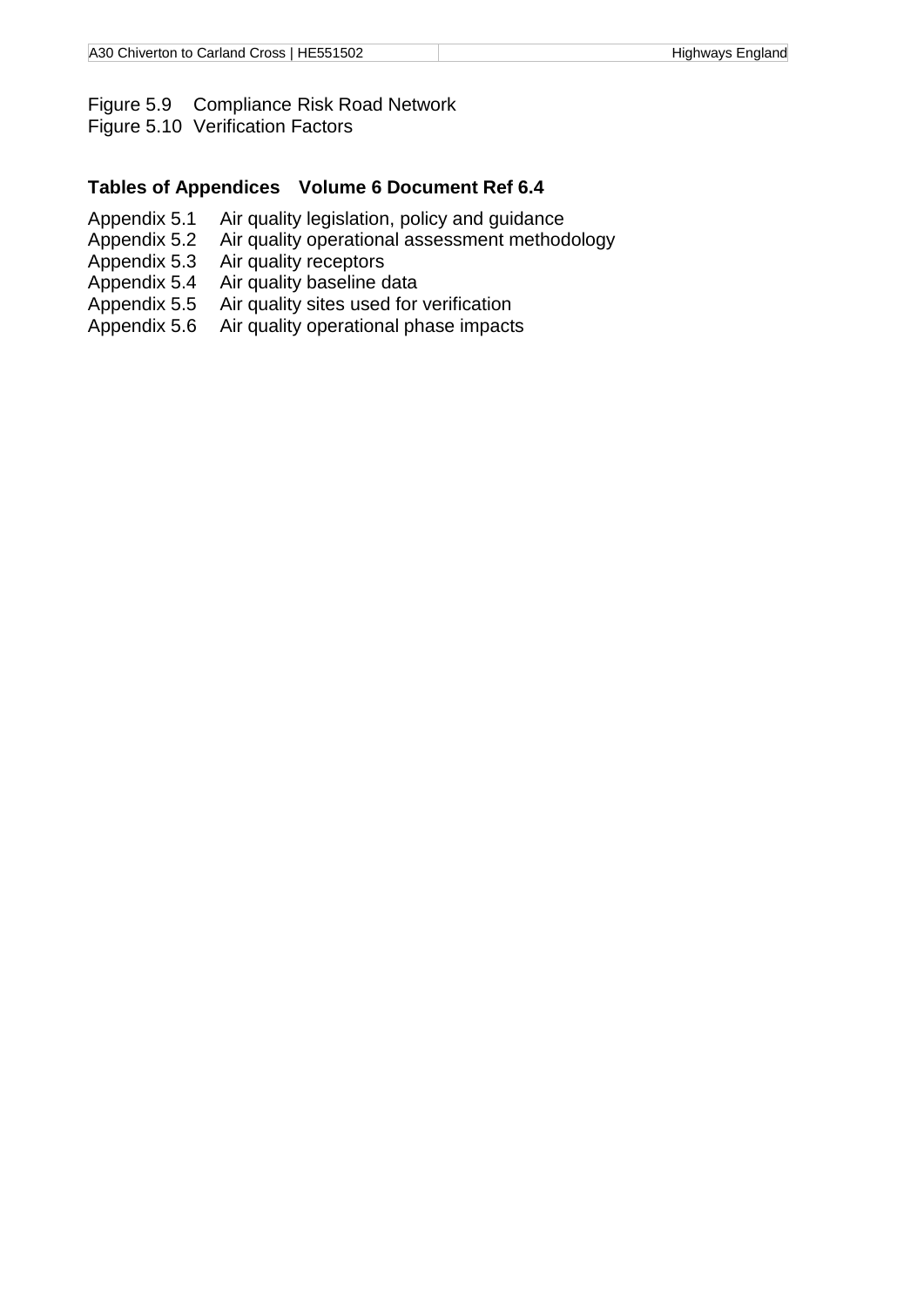#### Figure 5.9 Compliance Risk Road Network

Figure 5.10 Verification Factors

#### **Tables of Appendices Volume 6 Document Ref 6.4**

- Appendix 5.1 Air quality legislation, policy and guidance
- Appendix 5.2 Air quality operational assessment methodology<br>Appendix 5.3 Air quality receptors
- 
- Appendix 5.3 Air quality receptors<br>Appendix 5.4 Air quality baseline c Air quality baseline data
- Appendix 5.5 Air quality sites used for verification<br>Appendix 5.6 Air quality operational phase impacts
- Air quality operational phase impacts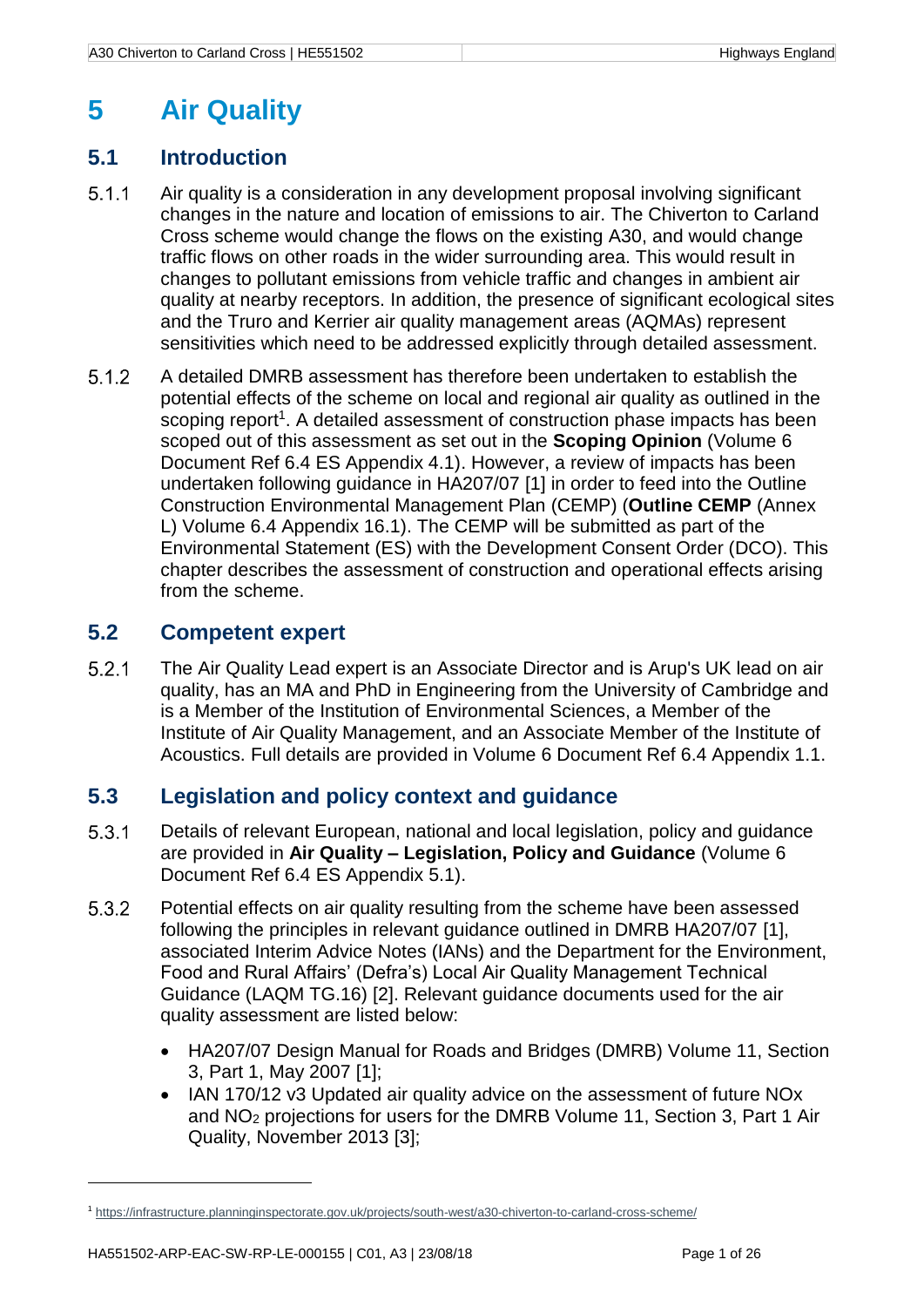# <span id="page-6-0"></span>**5 Air Quality**

# <span id="page-6-1"></span>**5.1 Introduction**

- $5.1.1$ Air quality is a consideration in any development proposal involving significant changes in the nature and location of emissions to air. The Chiverton to Carland Cross scheme would change the flows on the existing A30, and would change traffic flows on other roads in the wider surrounding area. This would result in changes to pollutant emissions from vehicle traffic and changes in ambient air quality at nearby receptors. In addition, the presence of significant ecological sites and the Truro and Kerrier air quality management areas (AQMAs) represent sensitivities which need to be addressed explicitly through detailed assessment.
- <span id="page-6-4"></span> $5.1.2$ A detailed DMRB assessment has therefore been undertaken to establish the potential effects of the scheme on local and regional air quality as outlined in the scoping report<sup>1</sup>. A detailed assessment of construction phase impacts has been scoped out of this assessment as set out in the **Scoping Opinion** (Volume 6 Document Ref 6.4 ES Appendix 4.1). However, a review of impacts has been undertaken following guidance in HA207/07 [1] in order to feed into the Outline Construction Environmental Management Plan (CEMP) (**Outline CEMP** (Annex L) Volume 6.4 Appendix 16.1). The CEMP will be submitted as part of the Environmental Statement (ES) with the Development Consent Order (DCO). This chapter describes the assessment of construction and operational effects arising from the scheme.

# <span id="page-6-2"></span>**5.2 Competent expert**

 $5.2.1$ The Air Quality Lead expert is an Associate Director and is Arup's UK lead on air quality, has an MA and PhD in Engineering from the University of Cambridge and is a Member of the Institution of Environmental Sciences, a Member of the Institute of Air Quality Management, and an Associate Member of the Institute of Acoustics. Full details are provided in Volume 6 Document Ref 6.4 Appendix 1.1.

# <span id="page-6-3"></span>**5.3 Legislation and policy context and guidance**

- $5.3.1$ Details of relevant European, national and local legislation, policy and guidance are provided in **Air Quality – Legislation, Policy and Guidance** (Volume 6 Document Ref 6.4 ES Appendix 5.1).
- $5.3.2$ Potential effects on air quality resulting from the scheme have been assessed following the principles in relevant guidance outlined in DMRB HA207/07 [1], associated Interim Advice Notes (IANs) and the Department for the Environment, Food and Rural Affairs' (Defra's) Local Air Quality Management Technical Guidance (LAQM TG.16) [2]. Relevant guidance documents used for the air quality assessment are listed below:
	- HA207/07 Design Manual for Roads and Bridges (DMRB) Volume 11, Section 3, Part 1, May 2007 [1];
	- IAN 170/12 v3 Updated air quality advice on the assessment of future NO<sub>x</sub> and NO<sup>2</sup> projections for users for the DMRB Volume 11, Section 3, Part 1 Air Quality, November 2013 [3];

1

<sup>1</sup> <https://infrastructure.planninginspectorate.gov.uk/projects/south-west/a30-chiverton-to-carland-cross-scheme/>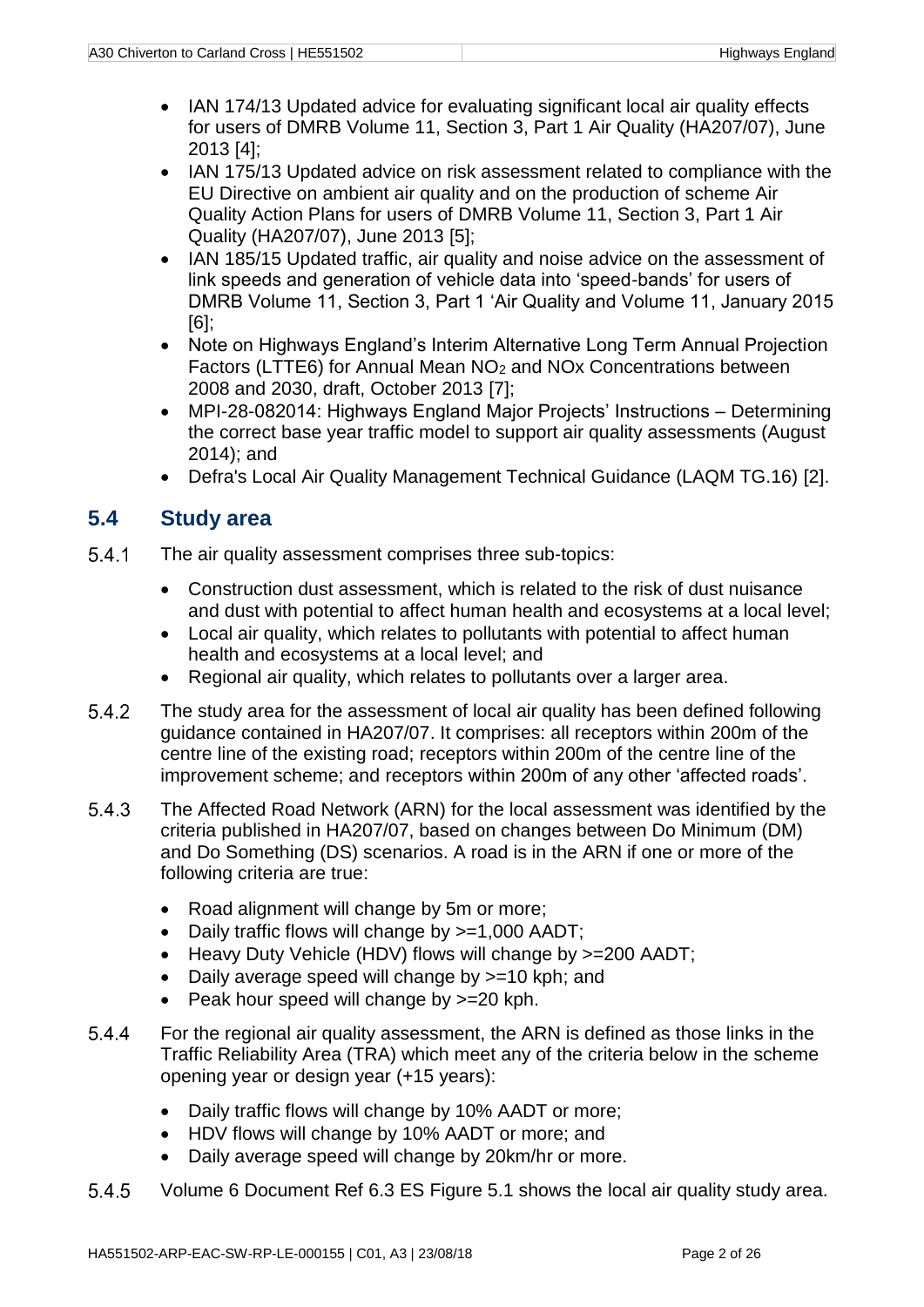- IAN 174/13 Updated advice for evaluating significant local air quality effects for users of DMRB Volume 11, Section 3, Part 1 Air Quality (HA207/07), June 2013 [4];
- IAN 175/13 Updated advice on risk assessment related to compliance with the EU Directive on ambient air quality and on the production of scheme Air Quality Action Plans for users of DMRB Volume 11, Section 3, Part 1 Air Quality (HA207/07), June 2013 [5];
- IAN 185/15 Updated traffic, air quality and noise advice on the assessment of link speeds and generation of vehicle data into 'speed-bands' for users of DMRB Volume 11, Section 3, Part 1 'Air Quality and Volume 11, January 2015 [6];
- Note on Highways England's Interim Alternative Long Term Annual Projection Factors (LTTE6) for Annual Mean NO<sup>2</sup> and NOx Concentrations between 2008 and 2030, draft, October 2013 [7];
- MPI-28-082014: Highways England Major Projects' Instructions Determining the correct base year traffic model to support air quality assessments (August 2014); and
- Defra's Local Air Quality Management Technical Guidance (LAQM TG.16) [2].

# <span id="page-7-0"></span>**5.4 Study area**

- 541 The air quality assessment comprises three sub-topics:
	- Construction dust assessment, which is related to the risk of dust nuisance and dust with potential to affect human health and ecosystems at a local level;
	- Local air quality, which relates to pollutants with potential to affect human health and ecosystems at a local level; and
	- Regional air quality, which relates to pollutants over a larger area.
- $5.4.2$ The study area for the assessment of local air quality has been defined following guidance contained in HA207/07. It comprises: all receptors within 200m of the centre line of the existing road; receptors within 200m of the centre line of the improvement scheme; and receptors within 200m of any other 'affected roads'.
- $5.4.3$ The Affected Road Network (ARN) for the local assessment was identified by the criteria published in HA207/07, based on changes between Do Minimum (DM) and Do Something (DS) scenarios. A road is in the ARN if one or more of the following criteria are true:
	- Road alignment will change by 5m or more:
	- Daily traffic flows will change by >=1,000 AADT;
	- Heavy Duty Vehicle (HDV) flows will change by >=200 AADT;
	- Daily average speed will change by >=10 kph; and
	- Peak hour speed will change by  $>=20$  kph.
- <span id="page-7-1"></span>For the regional air quality assessment, the ARN is defined as those links in the 5.4.4 Traffic Reliability Area (TRA) which meet any of the criteria below in the scheme opening year or design year (+15 years):
	- Daily traffic flows will change by 10% AADT or more;
	- HDV flows will change by 10% AADT or more; and
	- Daily average speed will change by 20km/hr or more.
- 5.4.5 Volume 6 Document Ref 6.3 ES Figure 5.1 shows the local air quality study area.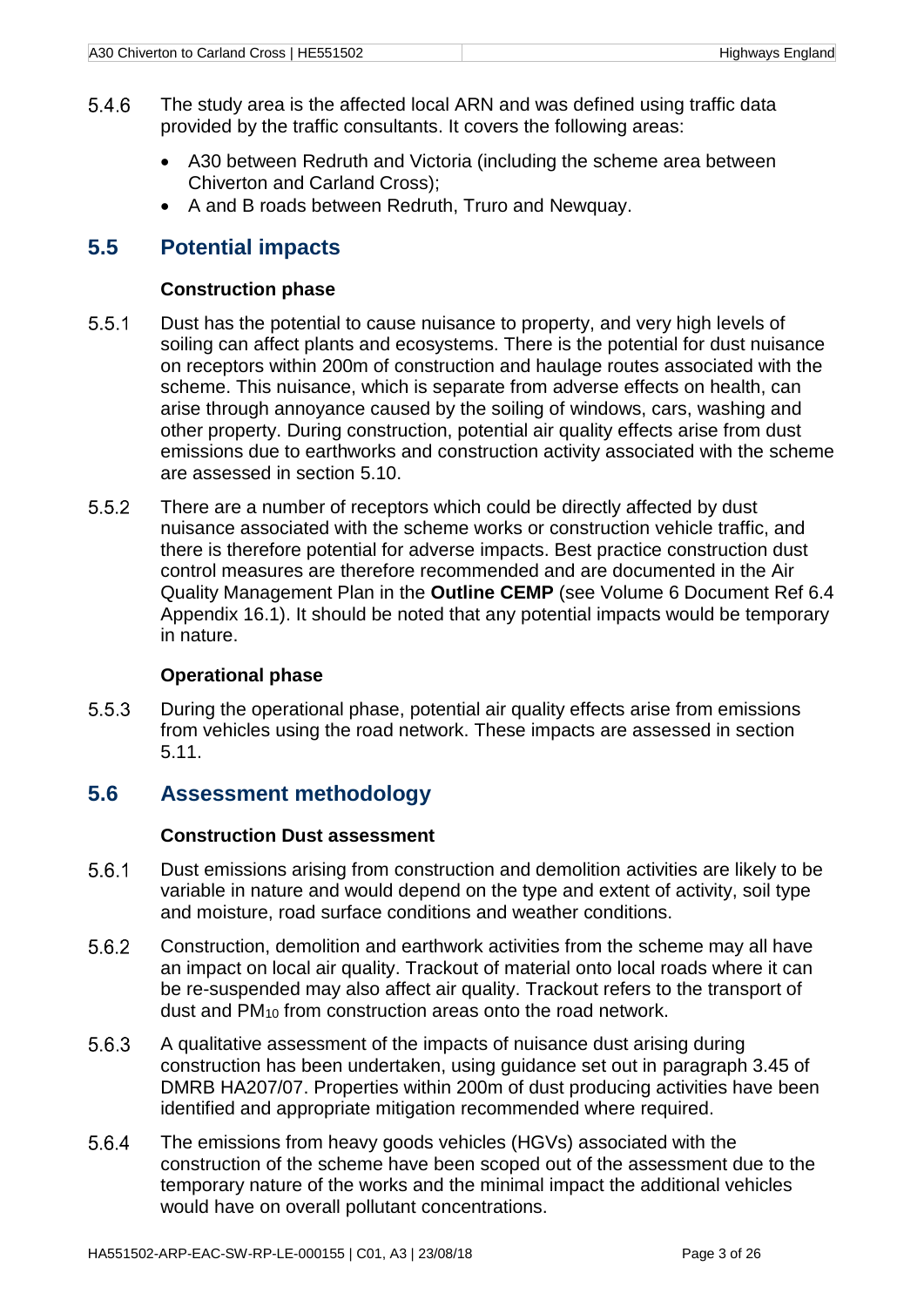- 5.4.6 The study area is the affected local ARN and was defined using traffic data provided by the traffic consultants. It covers the following areas:
	- A30 between Redruth and Victoria (including the scheme area between Chiverton and Carland Cross);
	- A and B roads between Redruth, Truro and Newquay.

# <span id="page-8-0"></span>**5.5 Potential impacts**

#### **Construction phase**

- $5.5.1$ Dust has the potential to cause nuisance to property, and very high levels of soiling can affect plants and ecosystems. There is the potential for dust nuisance on receptors within 200m of construction and haulage routes associated with the scheme. This nuisance, which is separate from adverse effects on health, can arise through annoyance caused by the soiling of windows, cars, washing and other property. During construction, potential air quality effects arise from dust emissions due to earthworks and construction activity associated with the scheme are assessed in section [5.10.](#page-19-0)
- $5.5.2$ There are a number of receptors which could be directly affected by dust nuisance associated with the scheme works or construction vehicle traffic, and there is therefore potential for adverse impacts. Best practice construction dust control measures are therefore recommended and are documented in the Air Quality Management Plan in the **Outline CEMP** (see Volume 6 Document Ref 6.4 Appendix 16.1). It should be noted that any potential impacts would be temporary in nature.

#### **Operational phase**

 $5.5.3$ During the operational phase, potential air quality effects arise from emissions from vehicles using the road network. These impacts are assessed in section [5.11.](#page-20-0)

## <span id="page-8-1"></span>**5.6 Assessment methodology**

#### **Construction Dust assessment**

- $5.6.1$ Dust emissions arising from construction and demolition activities are likely to be variable in nature and would depend on the type and extent of activity, soil type and moisture, road surface conditions and weather conditions.
- 5.6.2 Construction, demolition and earthwork activities from the scheme may all have an impact on local air quality. Trackout of material onto local roads where it can be re-suspended may also affect air quality. Trackout refers to the transport of dust and PM<sup>10</sup> from construction areas onto the road network.
- 5.6.3 A qualitative assessment of the impacts of nuisance dust arising during construction has been undertaken, using guidance set out in paragraph 3.45 of DMRB HA207/07. Properties within 200m of dust producing activities have been identified and appropriate mitigation recommended where required.
- 5.6.4 The emissions from heavy goods vehicles (HGVs) associated with the construction of the scheme have been scoped out of the assessment due to the temporary nature of the works and the minimal impact the additional vehicles would have on overall pollutant concentrations.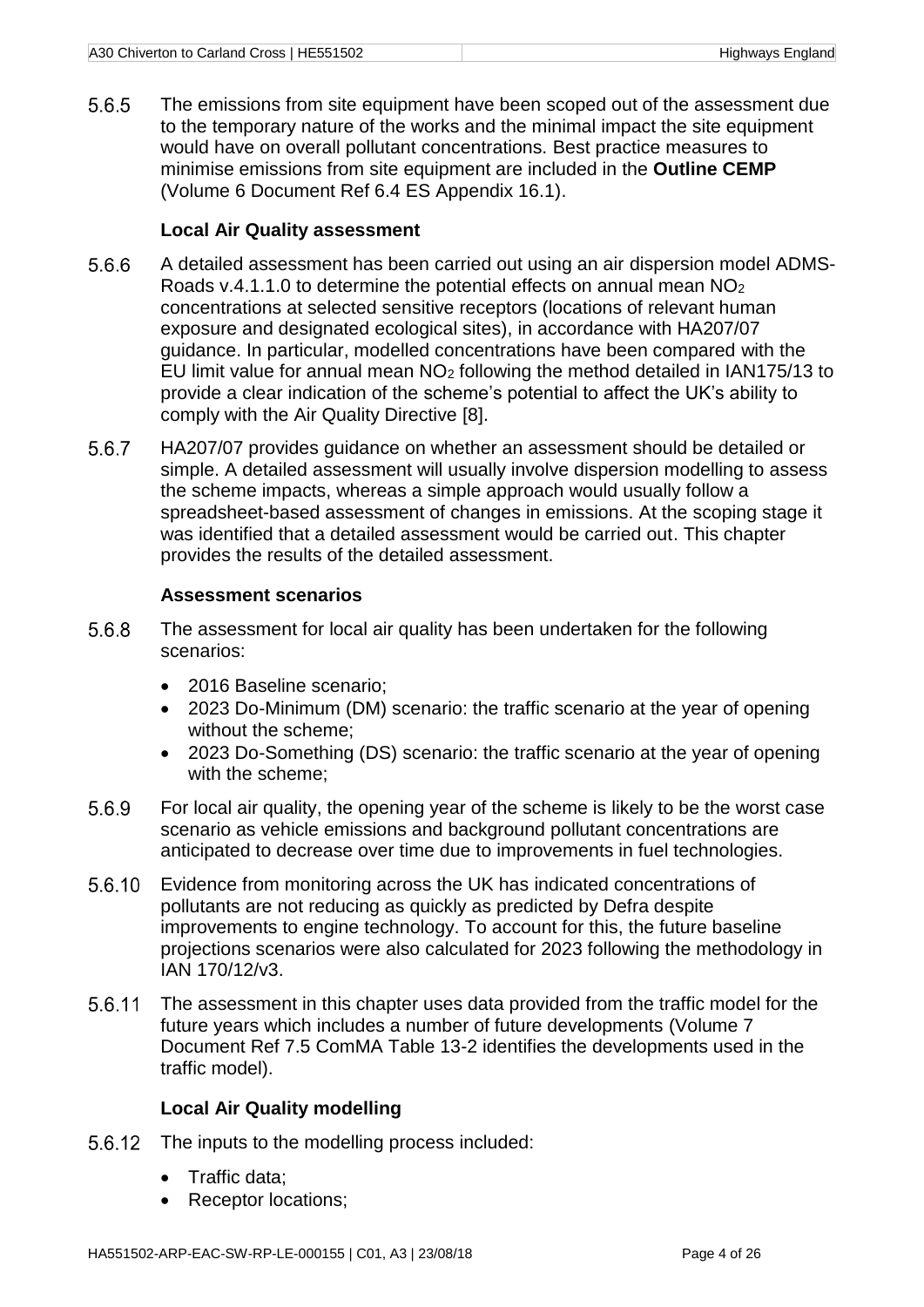5.6.5 The emissions from site equipment have been scoped out of the assessment due to the temporary nature of the works and the minimal impact the site equipment would have on overall pollutant concentrations. Best practice measures to minimise emissions from site equipment are included in the **Outline CEMP** (Volume 6 Document Ref 6.4 ES Appendix 16.1).

#### **Local Air Quality assessment**

- 5.6.6 A detailed assessment has been carried out using an air dispersion model ADMS-Roads v.4.1.1.0 to determine the potential effects on annual mean NO<sup>2</sup> concentrations at selected sensitive receptors (locations of relevant human exposure and designated ecological sites), in accordance with HA207/07 guidance. In particular, modelled concentrations have been compared with the EU limit value for annual mean NO<sup>2</sup> following the method detailed in IAN175/13 to provide a clear indication of the scheme's potential to affect the UK's ability to comply with the Air Quality Directive [8].
- 5.6.7 HA207/07 provides guidance on whether an assessment should be detailed or simple. A detailed assessment will usually involve dispersion modelling to assess the scheme impacts, whereas a simple approach would usually follow a spreadsheet-based assessment of changes in emissions. At the scoping stage it was identified that a detailed assessment would be carried out. This chapter provides the results of the detailed assessment.

#### **Assessment scenarios**

- 5.6.8 The assessment for local air quality has been undertaken for the following scenarios:
	- 2016 Baseline scenario;
	- 2023 Do-Minimum (DM) scenario: the traffic scenario at the year of opening without the scheme;
	- 2023 Do-Something (DS) scenario: the traffic scenario at the year of opening with the scheme;
- 5.6.9 For local air quality, the opening year of the scheme is likely to be the worst case scenario as vehicle emissions and background pollutant concentrations are anticipated to decrease over time due to improvements in fuel technologies.
- 5.6.10 Evidence from monitoring across the UK has indicated concentrations of pollutants are not reducing as quickly as predicted by Defra despite improvements to engine technology. To account for this, the future baseline projections scenarios were also calculated for 2023 following the methodology in IAN 170/12/v3.
- 5.6.11 The assessment in this chapter uses data provided from the traffic model for the future years which includes a number of future developments (Volume 7 Document Ref 7.5 ComMA Table 13-2 identifies the developments used in the traffic model).

#### **Local Air Quality modelling**

- 5.6.12 The inputs to the modelling process included:
	- Traffic data;
	- Receptor locations;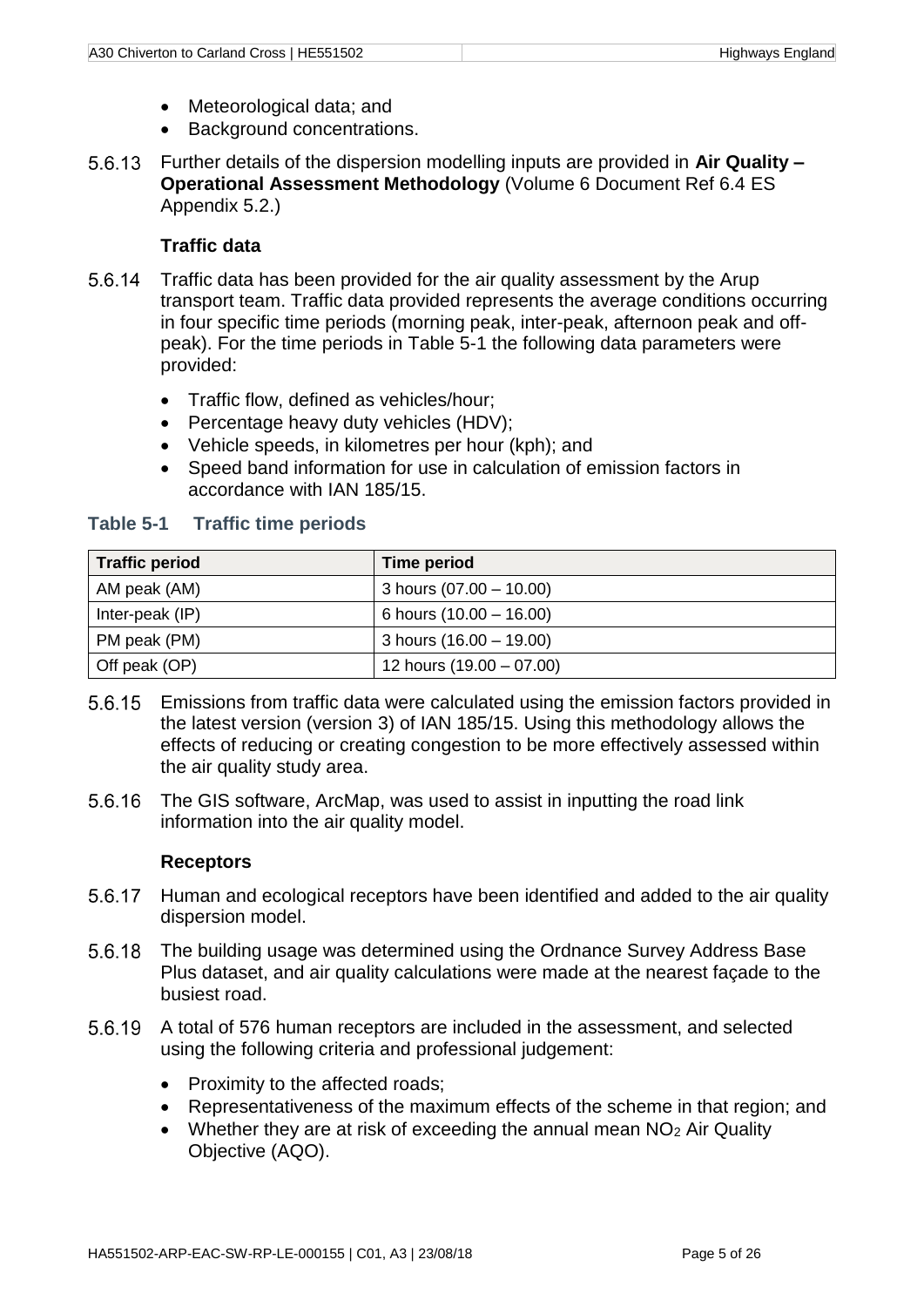- Meteorological data; and
- Background concentrations.
- Further details of the dispersion modelling inputs are provided in **Air Quality – Operational Assessment Methodology** (Volume 6 Document Ref 6.4 ES Appendix 5.2.)

#### **Traffic data**

- 5.6.14 Traffic data has been provided for the air quality assessment by the Arup transport team. Traffic data provided represents the average conditions occurring in four specific time periods (morning peak, inter-peak, afternoon peak and offpeak). For the time periods in [Table 5-1](#page-10-0) the following data parameters were provided:
	- Traffic flow, defined as vehicles/hour;
	- Percentage heavy duty vehicles (HDV);
	- Vehicle speeds, in kilometres per hour (kph); and
	- Speed band information for use in calculation of emission factors in accordance with IAN 185/15.

| <b>Traffic period</b> | Time period                |
|-----------------------|----------------------------|
| AM peak (AM)          | 3 hours $(07.00 - 10.00)$  |
| Inter-peak (IP)       | 6 hours $(10.00 - 16.00)$  |
| PM peak (PM)          | 3 hours $(16.00 - 19.00)$  |
| Off peak (OP)         | 12 hours $(19.00 - 07.00)$ |

#### <span id="page-10-0"></span>**Table 5-1 Traffic time periods**

- Emissions from traffic data were calculated using the emission factors provided in the latest version (version 3) of IAN 185/15. Using this methodology allows the effects of reducing or creating congestion to be more effectively assessed within the air quality study area.
- 5.6.16 The GIS software, ArcMap, was used to assist in inputting the road link information into the air quality model.

#### **Receptors**

- 5.6.17 Human and ecological receptors have been identified and added to the air quality dispersion model.
- 5.6.18 The building usage was determined using the Ordnance Survey Address Base Plus dataset, and air quality calculations were made at the nearest façade to the busiest road.
- A total of 576 human receptors are included in the assessment, and selected using the following criteria and professional judgement:
	- Proximity to the affected roads;
	- Representativeness of the maximum effects of the scheme in that region; and
	- Whether they are at risk of exceeding the annual mean  $NO<sub>2</sub>$  Air Quality Objective (AQO).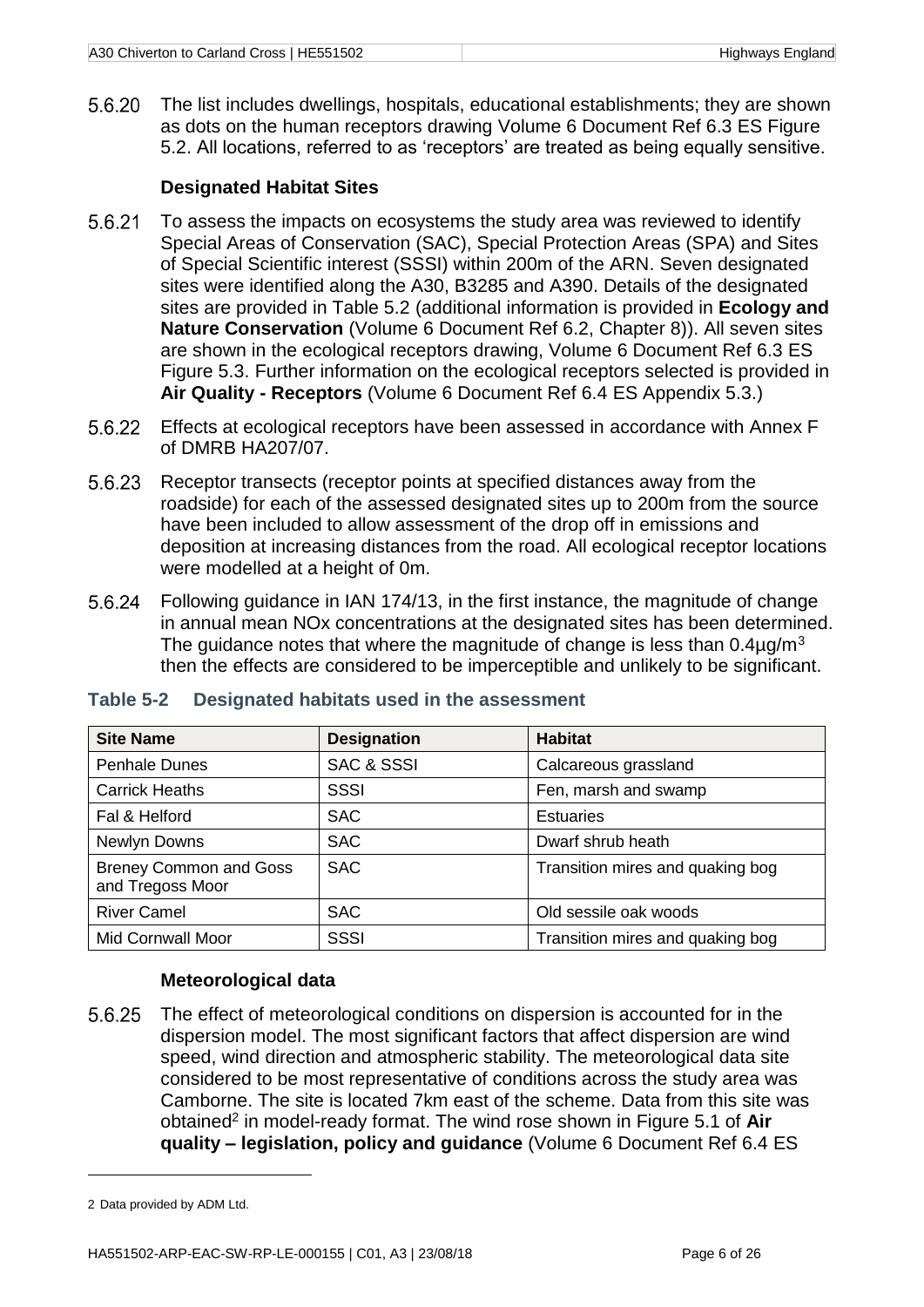The list includes dwellings, hospitals, educational establishments; they are shown 5.6.20 as dots on the human receptors drawing Volume 6 Document Ref 6.3 ES Figure 5.2. All locations, referred to as 'receptors' are treated as being equally sensitive.

#### **Designated Habitat Sites**

- 5.6.21 To assess the impacts on ecosystems the study area was reviewed to identify Special Areas of Conservation (SAC), Special Protection Areas (SPA) and Sites of Special Scientific interest (SSSI) within 200m of the ARN. Seven designated sites were identified along the A30, B3285 and A390. Details of the designated sites are provided in Table 5.2 (additional information is provided in **Ecology and Nature Conservation** (Volume 6 Document Ref 6.2, Chapter 8)). All seven sites are shown in the ecological receptors drawing, Volume 6 Document Ref 6.3 ES Figure 5.3. Further information on the ecological receptors selected is provided in **Air Quality - Receptors** (Volume 6 Document Ref 6.4 ES Appendix 5.3.)
- Effects at ecological receptors have been assessed in accordance with Annex F of DMRB HA207/07.
- 5.6.23 Receptor transects (receptor points at specified distances away from the roadside) for each of the assessed designated sites up to 200m from the source have been included to allow assessment of the drop off in emissions and deposition at increasing distances from the road. All ecological receptor locations were modelled at a height of 0m.
- Following guidance in IAN 174/13, in the first instance, the magnitude of change in annual mean NOx concentrations at the designated sites has been determined. The guidance notes that where the magnitude of change is less than  $0.4\mu q/m^3$ then the effects are considered to be imperceptible and unlikely to be significant.

| <b>Site Name</b>                                  | <b>Designation</b>    | <b>Habitat</b>                   |
|---------------------------------------------------|-----------------------|----------------------------------|
| <b>Penhale Dunes</b>                              | <b>SAC &amp; SSSI</b> | Calcareous grassland             |
| <b>Carrick Heaths</b>                             | SSSI                  | Fen, marsh and swamp             |
| Fal & Helford                                     | <b>SAC</b>            | <b>Estuaries</b>                 |
| Newlyn Downs                                      | <b>SAC</b>            | Dwarf shrub heath                |
| <b>Breney Common and Goss</b><br>and Tregoss Moor | <b>SAC</b>            | Transition mires and quaking bog |
| <b>River Camel</b>                                | <b>SAC</b>            | Old sessile oak woods            |
| <b>Mid Cornwall Moor</b>                          | <b>SSSI</b>           | Transition mires and quaking bog |

#### <span id="page-11-0"></span>**Table 5-2 Designated habitats used in the assessment**

#### **Meteorological data**

5.6.25 The effect of meteorological conditions on dispersion is accounted for in the dispersion model. The most significant factors that affect dispersion are wind speed, wind direction and atmospheric stability. The meteorological data site considered to be most representative of conditions across the study area was Camborne. The site is located 7km east of the scheme. Data from this site was obtained<sup>2</sup> in model-ready format. The wind rose shown in Figure 5.1 of **Air quality – legislation, policy and guidance** (Volume 6 Document Ref 6.4 ES

1

<sup>2</sup> Data provided by ADM Ltd.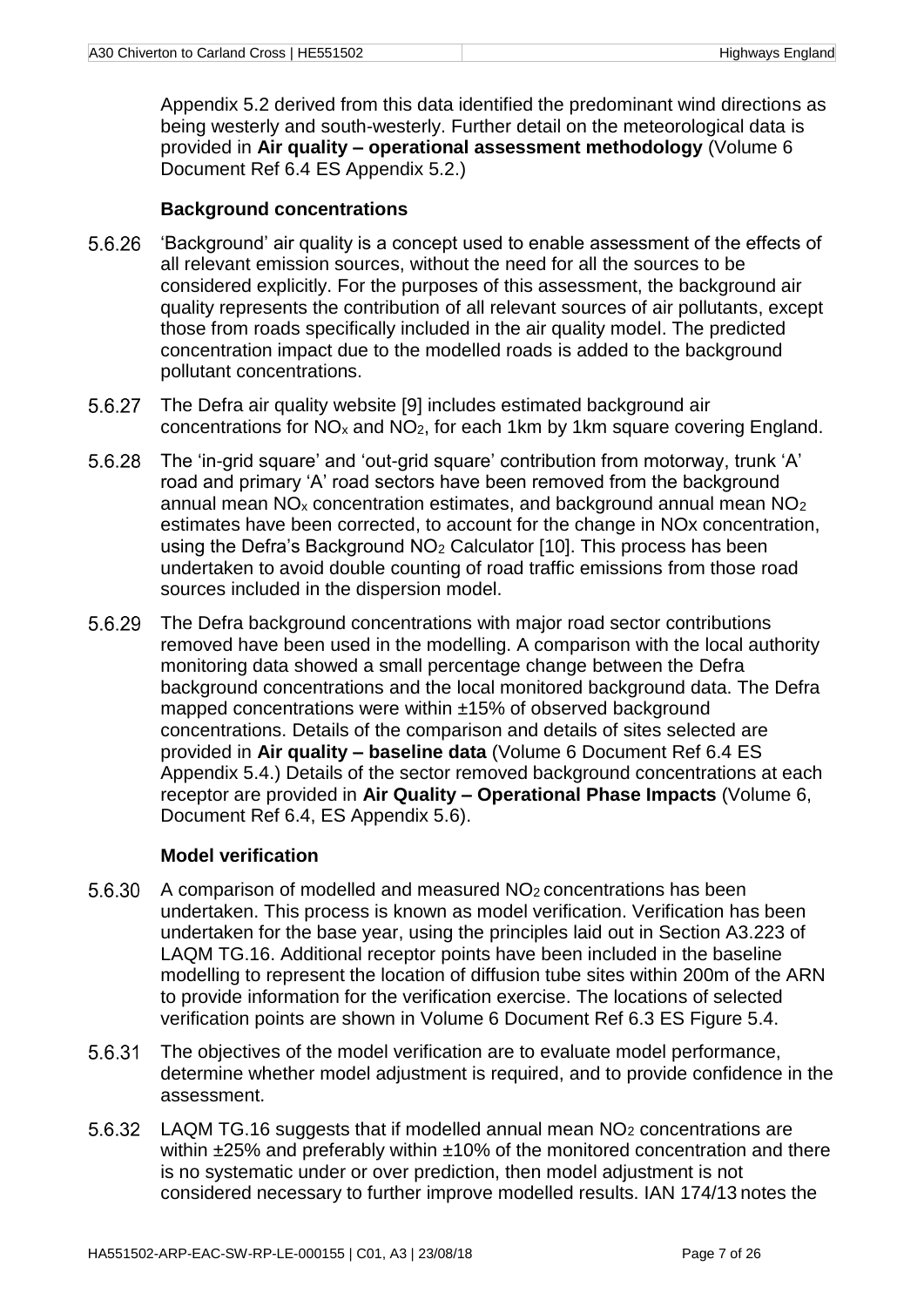Appendix 5.2 derived from this data identified the predominant wind directions as being westerly and south-westerly. Further detail on the meteorological data is provided in **Air quality – operational assessment methodology** (Volume 6 Document Ref 6.4 ES Appendix 5.2.)

#### **Background concentrations**

- 5.6.26 'Background' air quality is a concept used to enable assessment of the effects of all relevant emission sources, without the need for all the sources to be considered explicitly. For the purposes of this assessment, the background air quality represents the contribution of all relevant sources of air pollutants, except those from roads specifically included in the air quality model. The predicted concentration impact due to the modelled roads is added to the background pollutant concentrations.
- 5.6.27 The Defra air quality website [9] includes estimated background air concentrations for NO<sup>x</sup> and NO2, for each 1km by 1km square covering England.
- 5.6.28 The 'in-grid square' and 'out-grid square' contribution from motorway, trunk 'A' road and primary 'A' road sectors have been removed from the background annual mean  $NO<sub>x</sub>$  concentration estimates, and background annual mean  $NO<sub>2</sub>$ estimates have been corrected, to account for the change in NOx concentration, using the Defra's Background NO<sup>2</sup> Calculator [10]. This process has been undertaken to avoid double counting of road traffic emissions from those road sources included in the dispersion model.
- 5629 The Defra background concentrations with major road sector contributions removed have been used in the modelling. A comparison with the local authority monitoring data showed a small percentage change between the Defra background concentrations and the local monitored background data. The Defra mapped concentrations were within ±15% of observed background concentrations. Details of the comparison and details of sites selected are provided in **Air quality – baseline data** (Volume 6 Document Ref 6.4 ES Appendix 5.4.) Details of the sector removed background concentrations at each receptor are provided in **Air Quality – Operational Phase Impacts** (Volume 6, Document Ref 6.4, ES Appendix 5.6).

#### **Model verification**

- 5.6.30 A comparison of modelled and measured NO2 concentrations has been undertaken. This process is known as model verification. Verification has been undertaken for the base year, using the principles laid out in Section A3.223 of LAQM TG.16. Additional receptor points have been included in the baseline modelling to represent the location of diffusion tube sites within 200m of the ARN to provide information for the verification exercise. The locations of selected verification points are shown in Volume 6 Document Ref 6.3 ES Figure 5.4.
- <span id="page-12-0"></span>5.6.31 The objectives of the model verification are to evaluate model performance, determine whether model adjustment is required, and to provide confidence in the assessment.
- 56.32 LAQM TG.16 suggests that if modelled annual mean NO<sub>2</sub> concentrations are within ±25% and preferably within ±10% of the monitored concentration and there is no systematic under or over prediction, then model adjustment is not considered necessary to further improve modelled results. IAN 174/13 notes the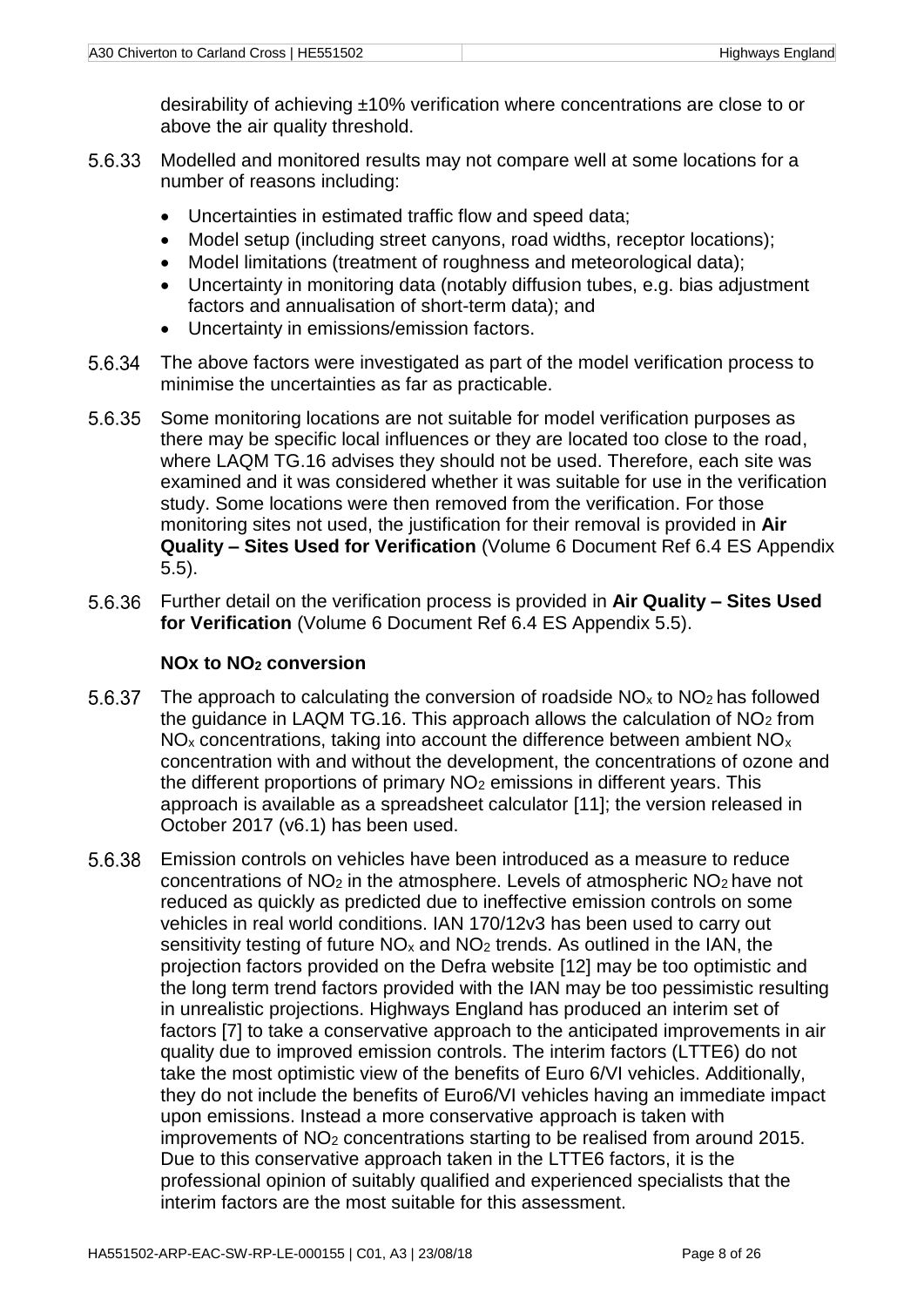desirability of achieving ±10% verification where concentrations are close to or above the air quality threshold.

- Modelled and monitored results may not compare well at some locations for a number of reasons including:
	- Uncertainties in estimated traffic flow and speed data;
	- Model setup (including street canyons, road widths, receptor locations);
	- Model limitations (treatment of roughness and meteorological data);
	- Uncertainty in monitoring data (notably diffusion tubes, e.g. bias adjustment factors and annualisation of short-term data); and
	- Uncertainty in emissions/emission factors.
- The above factors were investigated as part of the model verification process to minimise the uncertainties as far as practicable.
- 5.6.35 Some monitoring locations are not suitable for model verification purposes as there may be specific local influences or they are located too close to the road, where LAQM TG.16 advises they should not be used. Therefore, each site was examined and it was considered whether it was suitable for use in the verification study. Some locations were then removed from the verification. For those monitoring sites not used, the justification for their removal is provided in **Air Quality – Sites Used for Verification** (Volume 6 Document Ref 6.4 ES Appendix 5.5).
- Further detail on the verification process is provided in **Air Quality – Sites Used for Verification** (Volume 6 Document Ref 6.4 ES Appendix 5.5).

#### **NOx to NO<sup>2</sup> conversion**

- 5.6.37 The approach to calculating the conversion of roadside  $NO<sub>x</sub>$  to  $NO<sub>2</sub>$  has followed the guidance in LAQM TG.16. This approach allows the calculation of  $NO<sub>2</sub>$  from  $NO<sub>x</sub>$  concentrations, taking into account the difference between ambient  $NO<sub>x</sub>$ concentration with and without the development, the concentrations of ozone and the different proportions of primary  $NO<sub>2</sub>$  emissions in different years. This approach is available as a spreadsheet calculator [11]; the version released in October 2017 (v6.1) has been used.
- <span id="page-13-0"></span>5.6.38 Emission controls on vehicles have been introduced as a measure to reduce concentrations of NO<sup>2</sup> in the atmosphere. Levels of atmospheric NO<sup>2</sup> have not reduced as quickly as predicted due to ineffective emission controls on some vehicles in real world conditions. IAN 170/12v3 has been used to carry out sensitivity testing of future  $NO<sub>x</sub>$  and  $NO<sub>2</sub>$  trends. As outlined in the IAN, the projection factors provided on the Defra website [12] may be too optimistic and the long term trend factors provided with the IAN may be too pessimistic resulting in unrealistic projections. Highways England has produced an interim set of factors [7] to take a conservative approach to the anticipated improvements in air quality due to improved emission controls. The interim factors (LTTE6) do not take the most optimistic view of the benefits of Euro 6/VI vehicles. Additionally, they do not include the benefits of Euro6/VI vehicles having an immediate impact upon emissions. Instead a more conservative approach is taken with improvements of NO<sup>2</sup> concentrations starting to be realised from around 2015. Due to this conservative approach taken in the LTTE6 factors, it is the professional opinion of suitably qualified and experienced specialists that the interim factors are the most suitable for this assessment.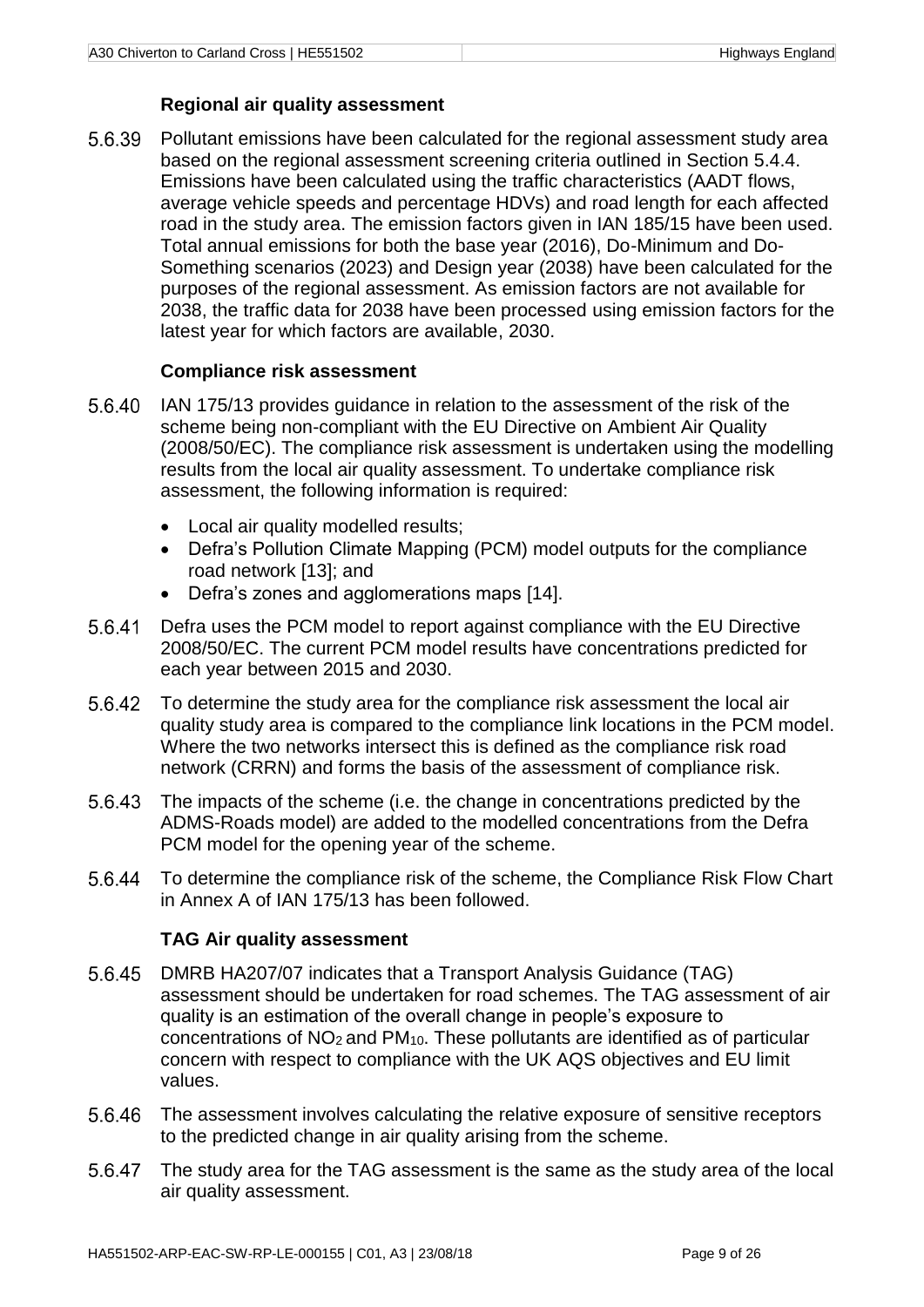#### **Regional air quality assessment**

5.6.39 Pollutant emissions have been calculated for the regional assessment study area based on the regional assessment screening criteria outlined in Section [5.4.4.](#page-7-1) Emissions have been calculated using the traffic characteristics (AADT flows, average vehicle speeds and percentage HDVs) and road length for each affected road in the study area. The emission factors given in IAN 185/15 have been used. Total annual emissions for both the base year (2016), Do-Minimum and Do-Something scenarios (2023) and Design year (2038) have been calculated for the purposes of the regional assessment. As emission factors are not available for 2038, the traffic data for 2038 have been processed using emission factors for the latest year for which factors are available, 2030.

#### **Compliance risk assessment**

- 5.6.40 IAN 175/13 provides guidance in relation to the assessment of the risk of the scheme being non-compliant with the EU Directive on Ambient Air Quality (2008/50/EC). The compliance risk assessment is undertaken using the modelling results from the local air quality assessment. To undertake compliance risk assessment, the following information is required:
	- Local air quality modelled results;
	- Defra's Pollution Climate Mapping (PCM) model outputs for the compliance road network [13]; and
	- Defra's zones and agglomerations maps [14].
- 5.6.41 Defra uses the PCM model to report against compliance with the EU Directive 2008/50/EC. The current PCM model results have concentrations predicted for each year between 2015 and 2030.
- 5.6.42 To determine the study area for the compliance risk assessment the local air quality study area is compared to the compliance link locations in the PCM model. Where the two networks intersect this is defined as the compliance risk road network (CRRN) and forms the basis of the assessment of compliance risk.
- 5.6.43 The impacts of the scheme (i.e. the change in concentrations predicted by the ADMS-Roads model) are added to the modelled concentrations from the Defra PCM model for the opening year of the scheme.
- To determine the compliance risk of the scheme, the Compliance Risk Flow Chart 5.6.44 in Annex A of IAN 175/13 has been followed.

#### **TAG Air quality assessment**

- 5.6.45 DMRB HA207/07 indicates that a Transport Analysis Guidance (TAG) assessment should be undertaken for road schemes. The TAG assessment of air quality is an estimation of the overall change in people's exposure to concentrations of NO2 and PM10. These pollutants are identified as of particular concern with respect to compliance with the UK AQS objectives and EU limit values.
- 5.6.46 The assessment involves calculating the relative exposure of sensitive receptors to the predicted change in air quality arising from the scheme.
- 5.6.47 The study area for the TAG assessment is the same as the study area of the local air quality assessment.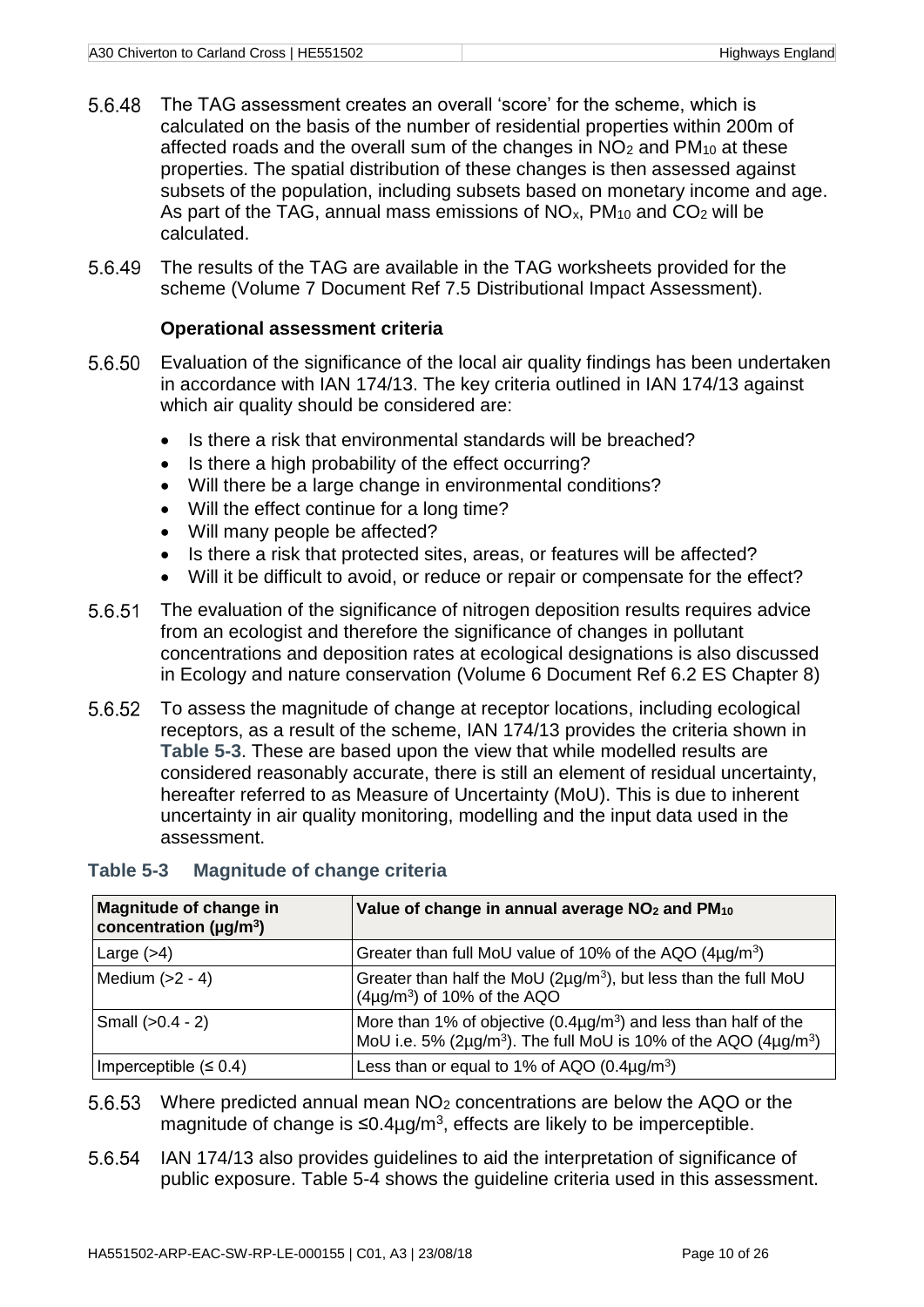- 5.6.48 The TAG assessment creates an overall 'score' for the scheme, which is calculated on the basis of the number of residential properties within 200m of affected roads and the overall sum of the changes in  $NO<sub>2</sub>$  and PM<sub>10</sub> at these properties. The spatial distribution of these changes is then assessed against subsets of the population, including subsets based on monetary income and age. As part of the TAG, annual mass emissions of  $NO<sub>x</sub>$ ,  $PM<sub>10</sub>$  and  $CO<sub>2</sub>$  will be calculated.
- The results of the TAG are available in the TAG worksheets provided for the scheme (Volume 7 Document Ref 7.5 Distributional Impact Assessment).

#### **Operational assessment criteria**

- Evaluation of the significance of the local air quality findings has been undertaken in accordance with IAN 174/13. The key criteria outlined in IAN 174/13 against which air quality should be considered are:
	- Is there a risk that environmental standards will be breached?
	- Is there a high probability of the effect occurring?
	- Will there be a large change in environmental conditions?
	- Will the effect continue for a long time?
	- Will many people be affected?
	- Is there a risk that protected sites, areas, or features will be affected?
	- Will it be difficult to avoid, or reduce or repair or compensate for the effect?
- 5.6.51 The evaluation of the significance of nitrogen deposition results requires advice from an ecologist and therefore the significance of changes in pollutant concentrations and deposition rates at ecological designations is also discussed in Ecology and nature conservation (Volume 6 Document Ref 6.2 ES Chapter 8)
- To assess the magnitude of change at receptor locations, including ecological receptors, as a result of the scheme, IAN 174/13 provides the criteria shown in **[Table 5-3](#page-15-0)**. These are based upon the view that while modelled results are considered reasonably accurate, there is still an element of residual uncertainty, hereafter referred to as Measure of Uncertainty (MoU). This is due to inherent uncertainty in air quality monitoring, modelling and the input data used in the assessment.

| Magnitude of change in<br>concentration (µg/m <sup>3</sup> ) | Value of change in annual average NO <sub>2</sub> and PM <sub>10</sub>                                                                                                      |
|--------------------------------------------------------------|-----------------------------------------------------------------------------------------------------------------------------------------------------------------------------|
| Large $(>4)$                                                 | Greater than full MoU value of 10% of the AQO $(4\mu g/m^3)$                                                                                                                |
| Medium $(>2 - 4)$                                            | Greater than half the MoU $(2\mu q/m^3)$ , but less than the full MoU<br>$(4\mu g/m^3)$ of 10% of the AQO                                                                   |
| Small $(>0.4 - 2)$                                           | More than 1% of objective $(0.4\mu g/m^3)$ and less than half of the<br>MoU i.e. 5% ( $2\mu$ g/m <sup>3</sup> ). The full MoU is 10% of the AQO ( $4\mu$ g/m <sup>3</sup> ) |
| Imperceptible $(6.4)$                                        | Less than or equal to 1% of AQO $(0.4\mu g/m^3)$                                                                                                                            |

#### <span id="page-15-0"></span>**Table 5-3 Magnitude of change criteria**

- 5.6.53 Where predicted annual mean NO<sub>2</sub> concentrations are below the AQO or the magnitude of change is  $\leq 0.4 \mu$ g/m<sup>3</sup>, effects are likely to be imperceptible.
- IAN 174/13 also provides guidelines to aid the interpretation of significance of public exposure. [Table 5-4](#page-16-1) shows the guideline criteria used in this assessment.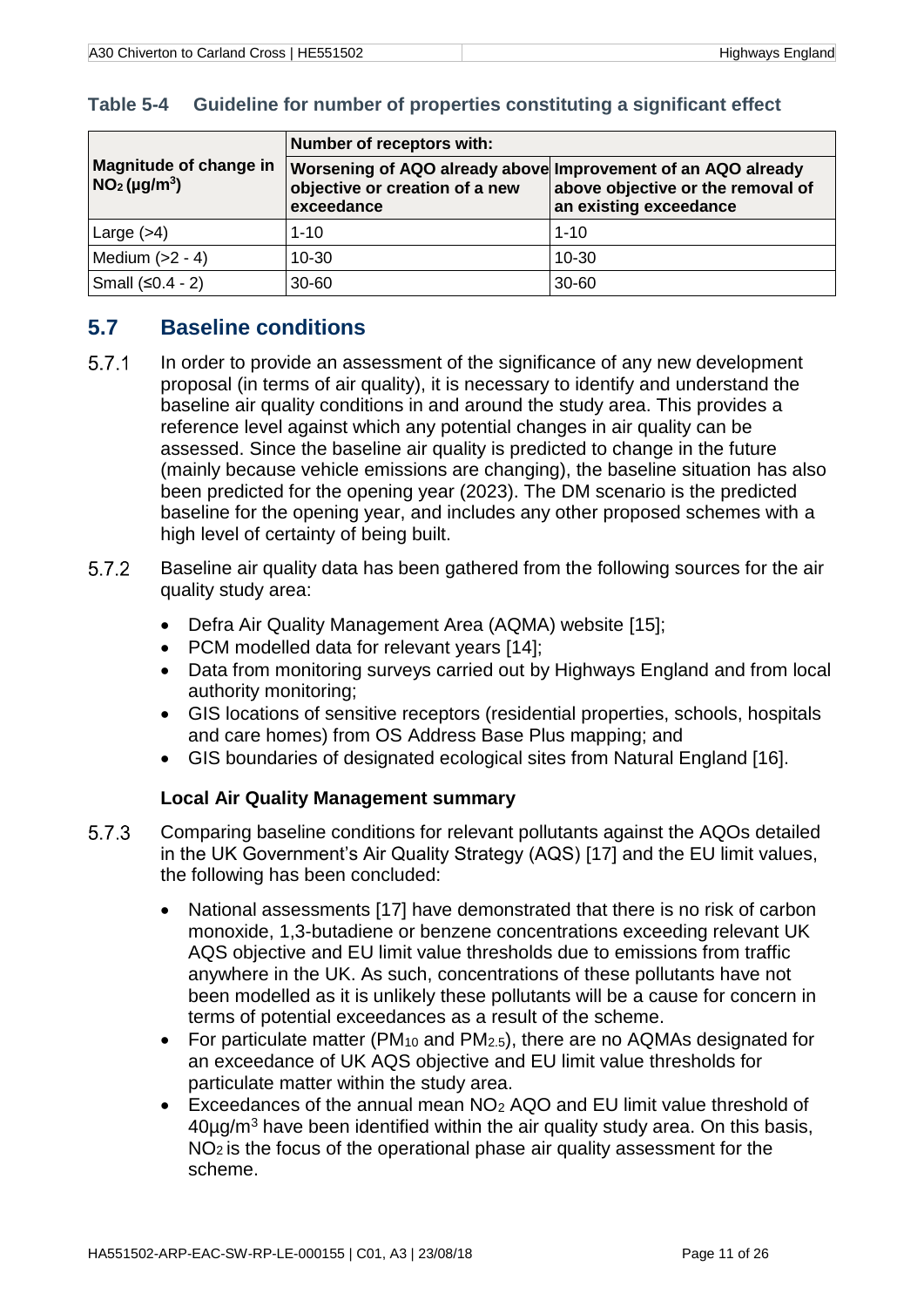|                                           | Number of receptors with:                                                                                    |                                                             |  |  |  |
|-------------------------------------------|--------------------------------------------------------------------------------------------------------------|-------------------------------------------------------------|--|--|--|
| Magnitude of change in<br>$NO2(\mu g/m3)$ | Worsening of AQO already above Improvement of an AQO already<br>objective or creation of a new<br>exceedance | above objective or the removal of<br>an existing exceedance |  |  |  |
| Large $(>4)$                              | $1 - 10$                                                                                                     | $1 - 10$                                                    |  |  |  |
| Medium $(>2 - 4)$                         | $10 - 30$                                                                                                    | $10 - 30$                                                   |  |  |  |
| Small $(≤0.4 - 2)$                        | $30 - 60$                                                                                                    | $30 - 60$                                                   |  |  |  |

#### <span id="page-16-1"></span>**Table 5-4 Guideline for number of properties constituting a significant effect**

# <span id="page-16-0"></span>**5.7 Baseline conditions**

- $5.7.1$ In order to provide an assessment of the significance of any new development proposal (in terms of air quality), it is necessary to identify and understand the baseline air quality conditions in and around the study area. This provides a reference level against which any potential changes in air quality can be assessed. Since the baseline air quality is predicted to change in the future (mainly because vehicle emissions are changing), the baseline situation has also been predicted for the opening year (2023). The DM scenario is the predicted baseline for the opening year, and includes any other proposed schemes with a high level of certainty of being built.
- $5.7.2$ Baseline air quality data has been gathered from the following sources for the air quality study area:
	- Defra Air Quality Management Area (AQMA) website [15];
	- PCM modelled data for relevant years [14];
	- Data from monitoring surveys carried out by Highways England and from local authority monitoring;
	- GIS locations of sensitive receptors (residential properties, schools, hospitals and care homes) from OS Address Base Plus mapping; and
	- GIS boundaries of designated ecological sites from Natural England [16].

## **Local Air Quality Management summary**

- 5.7.3 Comparing baseline conditions for relevant pollutants against the AQOs detailed in the UK Government's Air Quality Strategy (AQS) [17] and the EU limit values, the following has been concluded:
	- National assessments [17] have demonstrated that there is no risk of carbon monoxide, 1,3-butadiene or benzene concentrations exceeding relevant UK AQS objective and EU limit value thresholds due to emissions from traffic anywhere in the UK. As such, concentrations of these pollutants have not been modelled as it is unlikely these pollutants will be a cause for concern in terms of potential exceedances as a result of the scheme.
	- For particulate matter ( $PM_{10}$  and  $PM_{2.5}$ ), there are no AQMAs designated for an exceedance of UK AQS objective and EU limit value thresholds for particulate matter within the study area.
	- Exceedances of the annual mean NO<sub>2</sub> AQO and EU limit value threshold of 40µg/m<sup>3</sup> have been identified within the air quality study area. On this basis, NO2 is the focus of the operational phase air quality assessment for the scheme.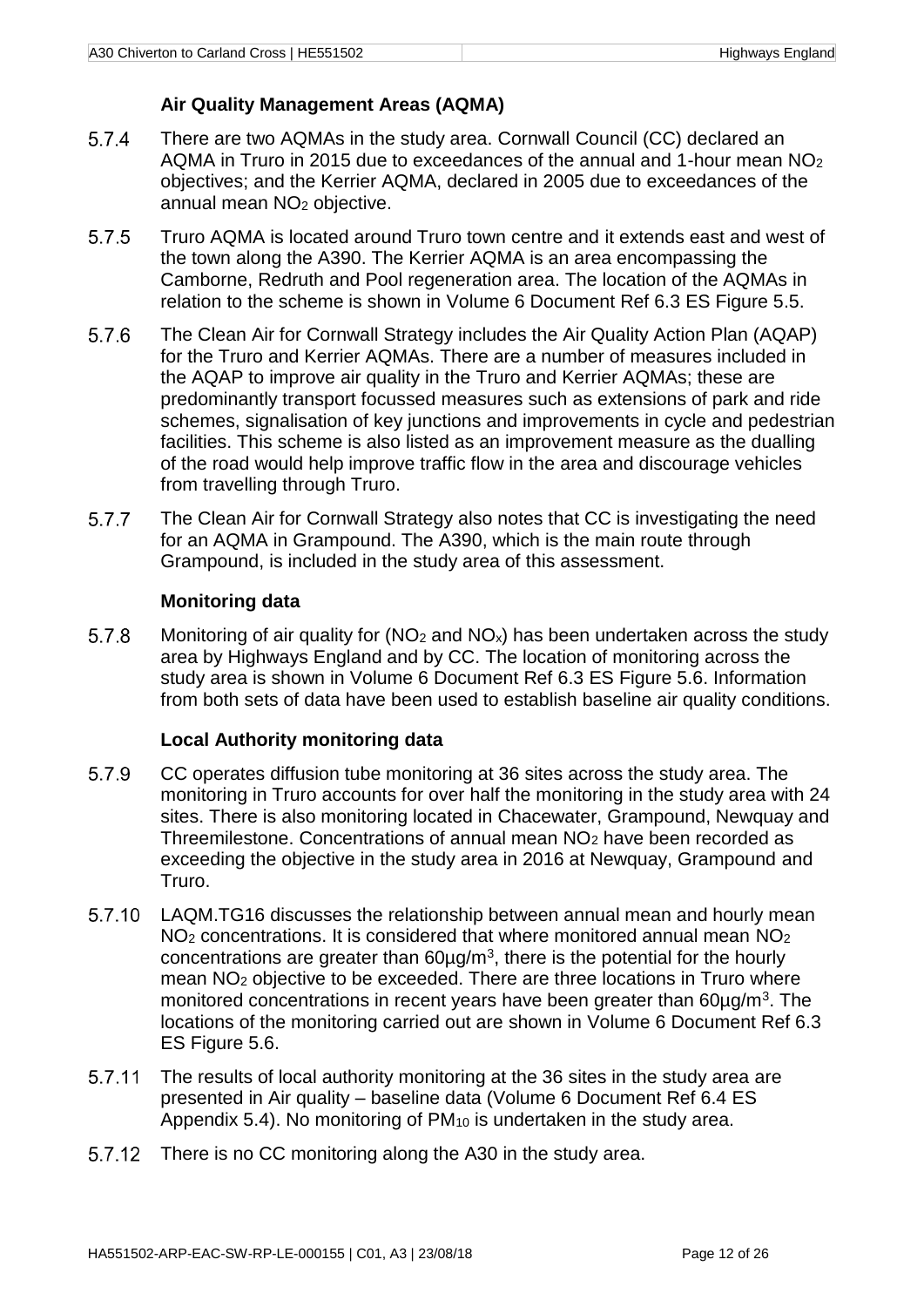#### **Air Quality Management Areas (AQMA)**

- 5.7.4 There are two AQMAs in the study area. Cornwall Council (CC) declared an AQMA in Truro in 2015 due to exceedances of the annual and 1-hour mean NO<sup>2</sup> objectives; and the Kerrier AQMA, declared in 2005 due to exceedances of the annual mean NO<sup>2</sup> objective.
- 5.7.5 Truro AQMA is located around Truro town centre and it extends east and west of the town along the A390. The Kerrier AQMA is an area encompassing the Camborne, Redruth and Pool regeneration area. The location of the AQMAs in relation to the scheme is shown in Volume 6 Document Ref 6.3 ES Figure 5.5.
- 5.7.6 The Clean Air for Cornwall Strategy includes the Air Quality Action Plan (AQAP) for the Truro and Kerrier AQMAs. There are a number of measures included in the AQAP to improve air quality in the Truro and Kerrier AQMAs; these are predominantly transport focussed measures such as extensions of park and ride schemes, signalisation of key junctions and improvements in cycle and pedestrian facilities. This scheme is also listed as an improvement measure as the dualling of the road would help improve traffic flow in the area and discourage vehicles from travelling through Truro.
- 5.7.7 The Clean Air for Cornwall Strategy also notes that CC is investigating the need for an AQMA in Grampound. The A390, which is the main route through Grampound, is included in the study area of this assessment.

#### **Monitoring data**

5.7.8 Monitoring of air quality for ( $NO<sub>2</sub>$  and  $NO<sub>x</sub>$ ) has been undertaken across the study area by Highways England and by CC. The location of monitoring across the study area is shown in Volume 6 Document Ref 6.3 ES Figure 5.6. Information from both sets of data have been used to establish baseline air quality conditions.

#### **Local Authority monitoring data**

- 5.7.9 CC operates diffusion tube monitoring at 36 sites across the study area. The monitoring in Truro accounts for over half the monitoring in the study area with 24 sites. There is also monitoring located in Chacewater, Grampound, Newquay and Threemilestone. Concentrations of annual mean NO<sup>2</sup> have been recorded as exceeding the objective in the study area in 2016 at Newquay, Grampound and Truro.
- 5.7.10 LAQM.TG16 discusses the relationship between annual mean and hourly mean  $NO<sub>2</sub>$  concentrations. It is considered that where monitored annual mean  $NO<sub>2</sub>$ concentrations are greater than  $60 \mu g/m<sup>3</sup>$ , there is the potential for the hourly mean NO<sup>2</sup> objective to be exceeded. There are three locations in Truro where monitored concentrations in recent years have been greater than 60µg/m<sup>3</sup>. The locations of the monitoring carried out are shown in Volume 6 Document Ref 6.3 ES Figure 5.6.
- 5.7.11 The results of local authority monitoring at the 36 sites in the study area are presented in Air quality – baseline data (Volume 6 Document Ref 6.4 ES Appendix 5.4). No monitoring of  $PM_{10}$  is undertaken in the study area.
- 5.7.12 There is no CC monitoring along the A30 in the study area.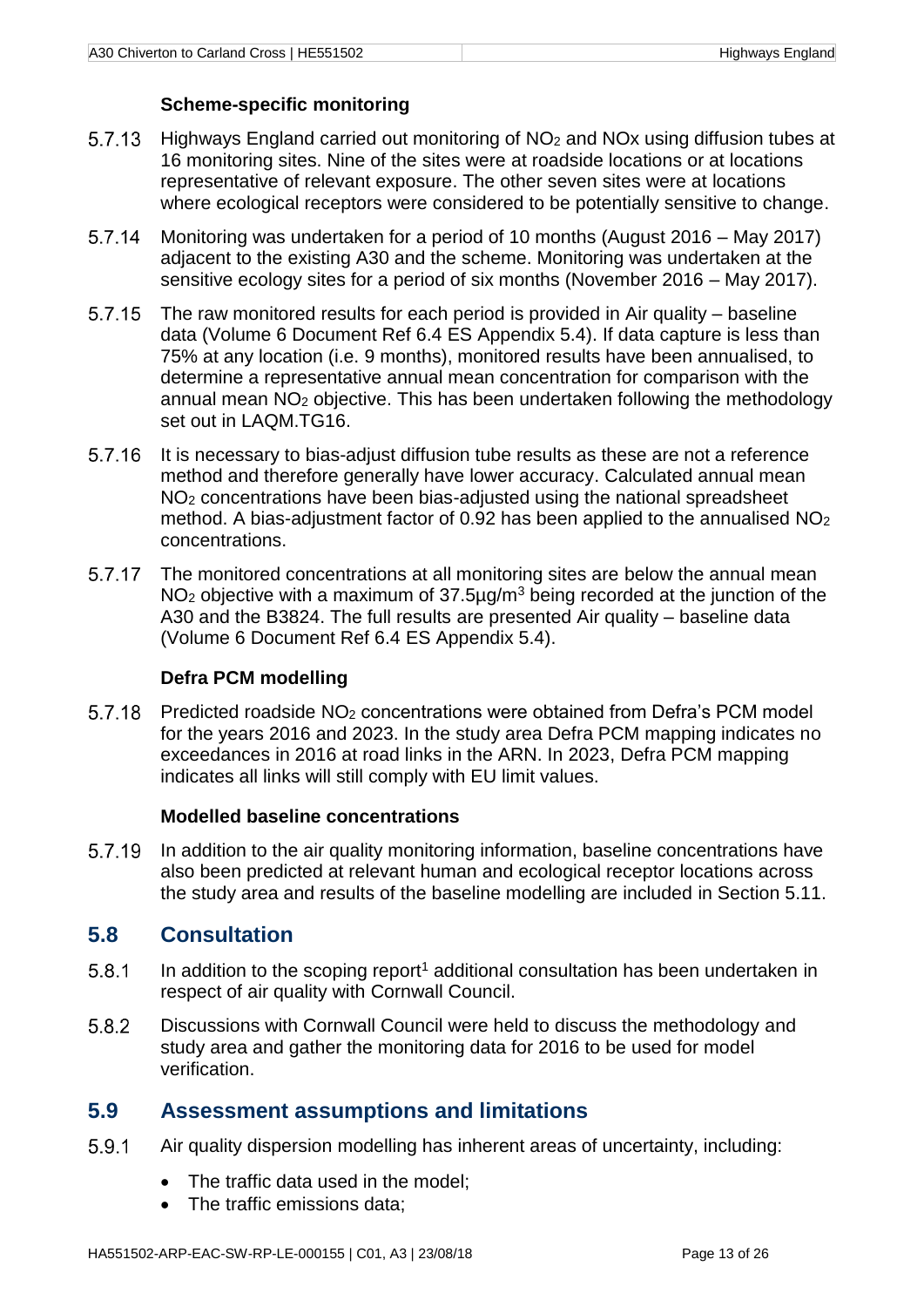#### **Scheme-specific monitoring**

- 5.7.13 Highways England carried out monitoring of  $NO<sub>2</sub>$  and  $NO<sub>X</sub>$  using diffusion tubes at 16 monitoring sites. Nine of the sites were at roadside locations or at locations representative of relevant exposure. The other seven sites were at locations where ecological receptors were considered to be potentially sensitive to change.
- Monitoring was undertaken for a period of 10 months (August 2016 May 2017)  $5.7.14$ adjacent to the existing A30 and the scheme. Monitoring was undertaken at the sensitive ecology sites for a period of six months (November 2016 – May 2017).
- 5.7.15 The raw monitored results for each period is provided in Air quality – baseline data (Volume 6 Document Ref 6.4 ES Appendix 5.4). If data capture is less than 75% at any location (i.e. 9 months), monitored results have been annualised, to determine a representative annual mean concentration for comparison with the annual mean NO<sup>2</sup> objective. This has been undertaken following the methodology set out in LAQM.TG16.
- It is necessary to bias-adjust diffusion tube results as these are not a reference 5.7.16 method and therefore generally have lower accuracy. Calculated annual mean NO<sup>2</sup> concentrations have been bias-adjusted using the national spreadsheet method. A bias-adjustment factor of 0.92 has been applied to the annualised NO<sup>2</sup> concentrations.
- 5.7.17 The monitored concentrations at all monitoring sites are below the annual mean NO<sub>2</sub> objective with a maximum of 37.5µg/m<sup>3</sup> being recorded at the junction of the A30 and the B3824. The full results are presented Air quality – baseline data (Volume 6 Document Ref 6.4 ES Appendix 5.4).

#### **Defra PCM modelling**

5.7.18 Predicted roadside NO<sup>2</sup> concentrations were obtained from Defra's PCM model for the years 2016 and 2023. In the study area Defra PCM mapping indicates no exceedances in 2016 at road links in the ARN. In 2023, Defra PCM mapping indicates all links will still comply with EU limit values.

#### **Modelled baseline concentrations**

5.7.19 In addition to the air quality monitoring information, baseline concentrations have also been predicted at relevant human and ecological receptor locations across the study area and results of the baseline modelling are included in Section [5.11.](#page-20-0)

## <span id="page-18-0"></span>**5.8 Consultation**

- 5.8.1 In addition to the scoping report<sup>[1](#page-6-4)</sup> additional consultation has been undertaken in respect of air quality with Cornwall Council.
- 5.8.2 Discussions with Cornwall Council were held to discuss the methodology and study area and gather the monitoring data for 2016 to be used for model verification.

## <span id="page-18-1"></span>**5.9 Assessment assumptions and limitations**

- 5.9.1 Air quality dispersion modelling has inherent areas of uncertainty, including:
	- The traffic data used in the model:
	- The traffic emissions data: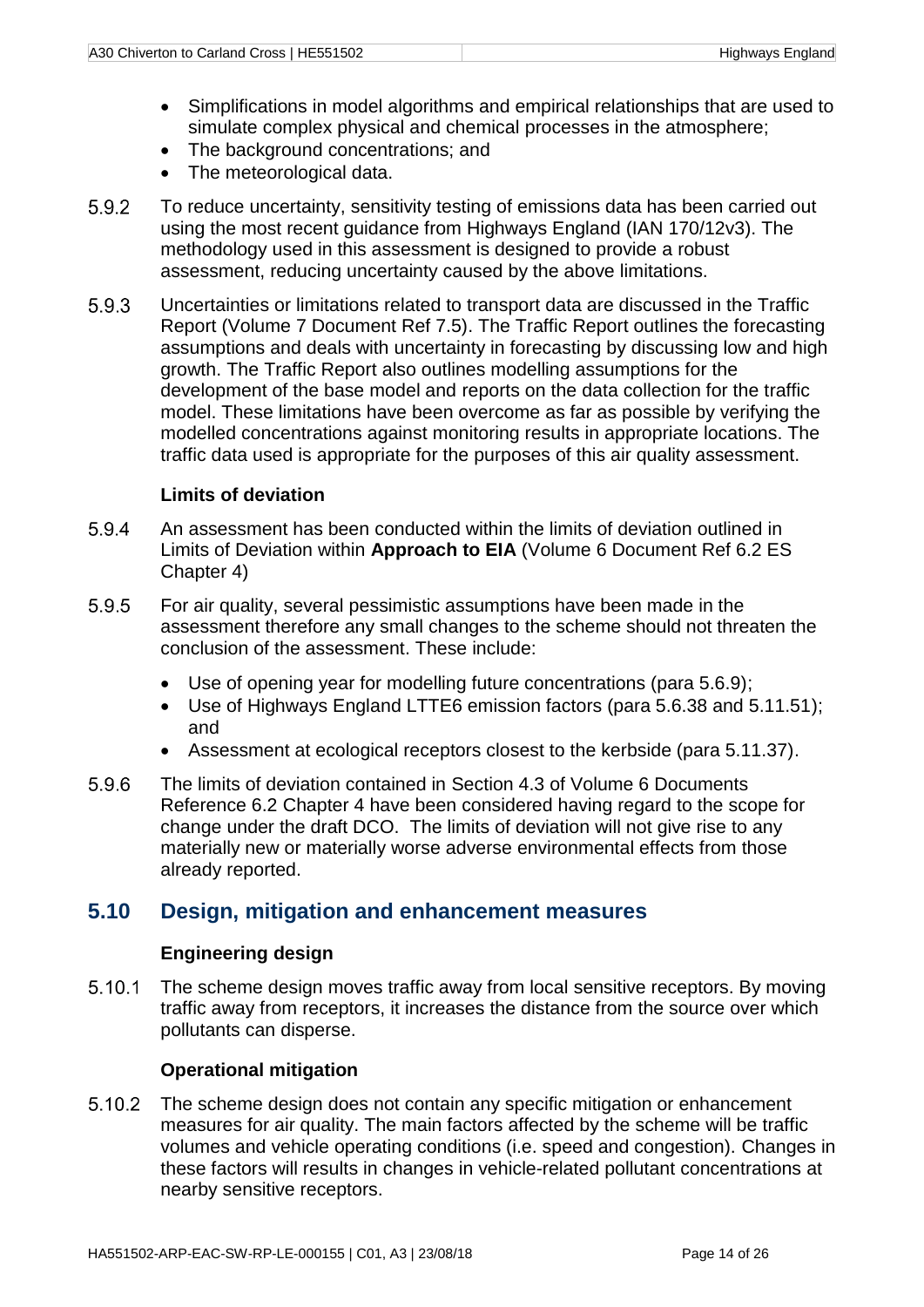- Simplifications in model algorithms and empirical relationships that are used to simulate complex physical and chemical processes in the atmosphere;
- The background concentrations; and
- The meteorological data.
- 5.9.2 To reduce uncertainty, sensitivity testing of emissions data has been carried out using the most recent guidance from Highways England (IAN 170/12v3). The methodology used in this assessment is designed to provide a robust assessment, reducing uncertainty caused by the above limitations.
- 5.9.3 Uncertainties or limitations related to transport data are discussed in the Traffic Report (Volume 7 Document Ref 7.5). The Traffic Report outlines the forecasting assumptions and deals with uncertainty in forecasting by discussing low and high growth. The Traffic Report also outlines modelling assumptions for the development of the base model and reports on the data collection for the traffic model. These limitations have been overcome as far as possible by verifying the modelled concentrations against monitoring results in appropriate locations. The traffic data used is appropriate for the purposes of this air quality assessment.

#### **Limits of deviation**

- An assessment has been conducted within the limits of deviation outlined in 5.9.4 Limits of Deviation within **Approach to EIA** (Volume 6 Document Ref 6.2 ES Chapter 4)
- 5.9.5 For air quality, several pessimistic assumptions have been made in the assessment therefore any small changes to the scheme should not threaten the conclusion of the assessment. These include:
	- Use of opening year for modelling future concentrations (para 5.6.9);
	- Use of Highways England LTTE6 emission factors (para 5.6.38 and 5.11.51); and
	- Assessment at ecological receptors closest to the kerbside (para 5.11.37).
- 5.9.6 The limits of deviation contained in Section 4.3 of Volume 6 Documents Reference 6.2 Chapter 4 have been considered having regard to the scope for change under the draft DCO. The limits of deviation will not give rise to any materially new or materially worse adverse environmental effects from those already reported.

# <span id="page-19-0"></span>**5.10 Design, mitigation and enhancement measures**

#### **Engineering design**

 $5.10.1$ The scheme design moves traffic away from local sensitive receptors. By moving traffic away from receptors, it increases the distance from the source over which pollutants can disperse.

#### **Operational mitigation**

 $5.10.2$ The scheme design does not contain any specific mitigation or enhancement measures for air quality. The main factors affected by the scheme will be traffic volumes and vehicle operating conditions (i.e. speed and congestion). Changes in these factors will results in changes in vehicle-related pollutant concentrations at nearby sensitive receptors.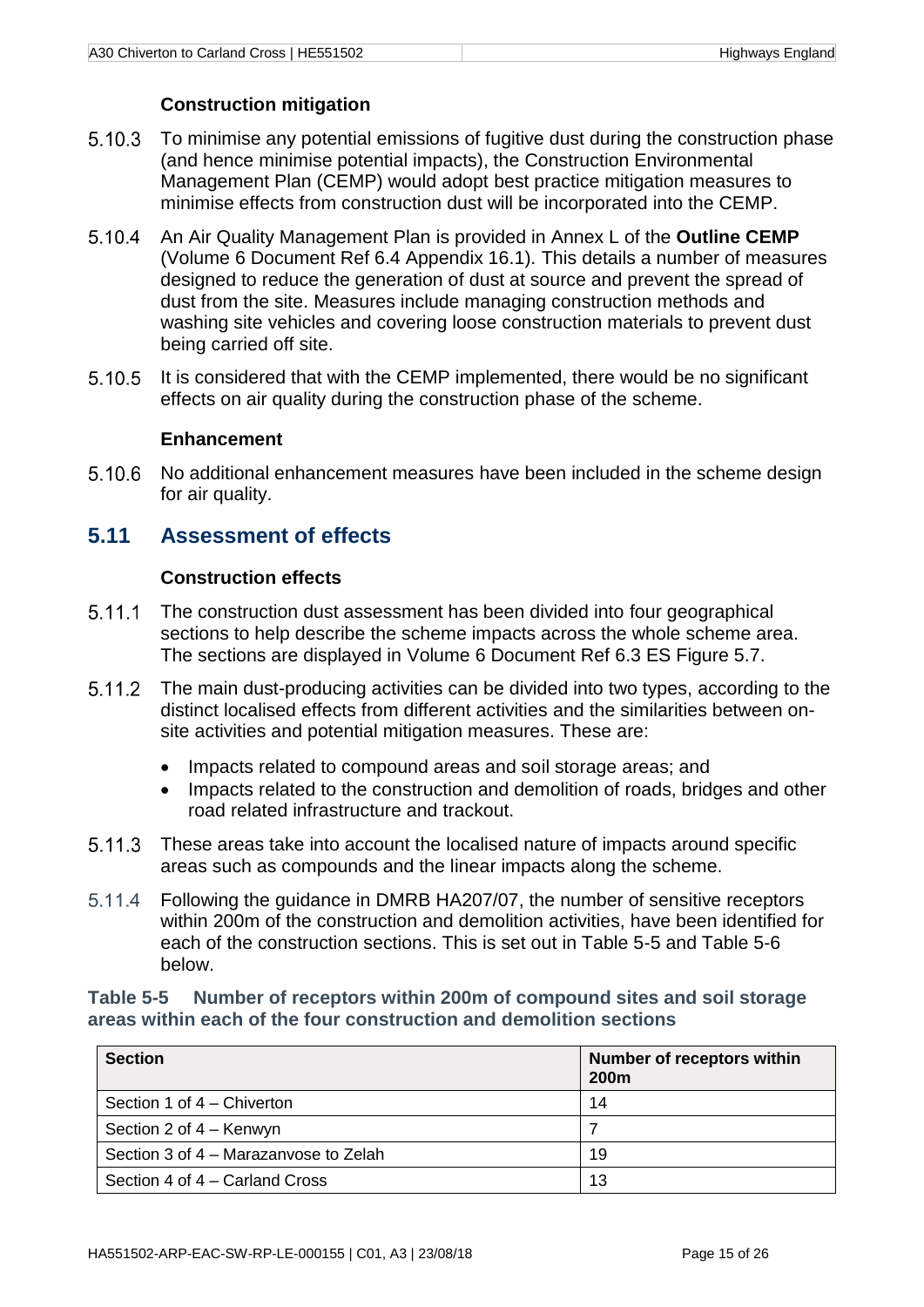#### **Construction mitigation**

- <span id="page-20-2"></span>5.10.3 To minimise any potential emissions of fugitive dust during the construction phase (and hence minimise potential impacts), the Construction Environmental Management Plan (CEMP) would adopt best practice mitigation measures to minimise effects from construction dust will be incorporated into the CEMP.
- An Air Quality Management Plan is provided in Annex L of the **Outline CEMP**  $5.10.4$ (Volume 6 Document Ref 6.4 Appendix 16.1). This details a number of measures designed to reduce the generation of dust at source and prevent the spread of dust from the site. Measures include managing construction methods and washing site vehicles and covering loose construction materials to prevent dust being carried off site.
- It is considered that with the CEMP implemented, there would be no significant 5.10.5 effects on air quality during the construction phase of the scheme.

#### **Enhancement**

 $5.10.6$ No additional enhancement measures have been included in the scheme design for air quality.

# <span id="page-20-0"></span>**5.11 Assessment of effects**

#### **Construction effects**

- $5.11.1$ The construction dust assessment has been divided into four geographical sections to help describe the scheme impacts across the whole scheme area. The sections are displayed in Volume 6 Document Ref 6.3 ES Figure 5.7.
- $5.11.2$ The main dust-producing activities can be divided into two types, according to the distinct localised effects from different activities and the similarities between onsite activities and potential mitigation measures. These are:
	- Impacts related to compound areas and soil storage areas; and
	- Impacts related to the construction and demolition of roads, bridges and other road related infrastructure and trackout.
- 5.11.3 These areas take into account the localised nature of impacts around specific areas such as compounds and the linear impacts along the scheme.
- $5.11.4$ Following the guidance in DMRB HA207/07, the number of sensitive receptors within 200m of the construction and demolition activities, have been identified for each of the construction sections. This is set out in Table 5-5 and Table 5-6 below.

#### <span id="page-20-1"></span>**Table 5-5 Number of receptors within 200m of compound sites and soil storage areas within each of the four construction and demolition sections**

| <b>Section</b>                        | Number of receptors within<br><b>200m</b> |
|---------------------------------------|-------------------------------------------|
| Section 1 of 4 – Chiverton            | 14                                        |
| Section 2 of 4 – Kenwyn               |                                           |
| Section 3 of 4 – Marazanyose to Zelah | 19                                        |
| Section 4 of 4 – Carland Cross        | 13                                        |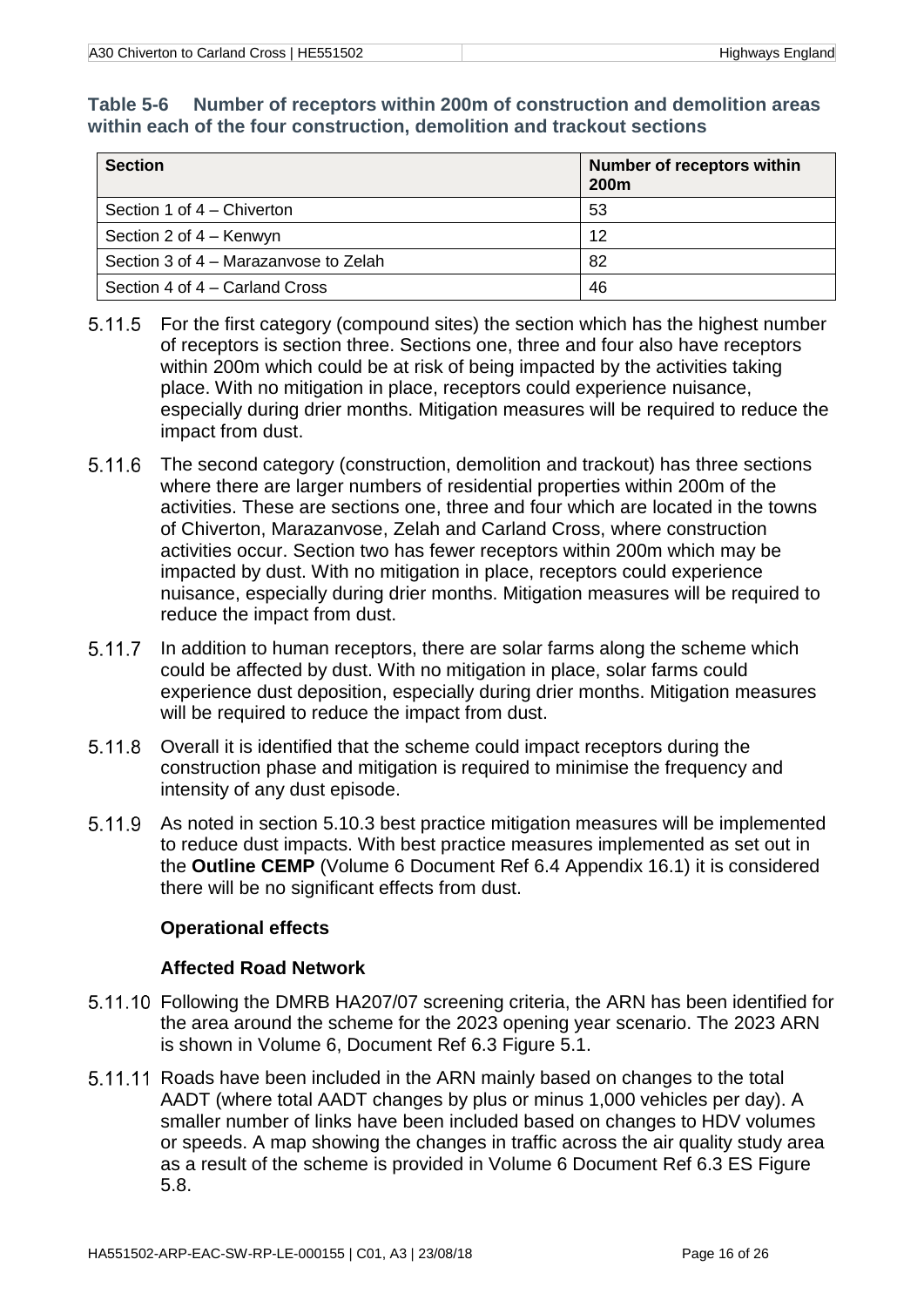#### <span id="page-21-0"></span>**Table 5-6 Number of receptors within 200m of construction and demolition areas within each of the four construction, demolition and trackout sections**

| <b>Section</b>                        | <b>Number of receptors within</b><br><b>200m</b> |
|---------------------------------------|--------------------------------------------------|
| Section 1 of 4 – Chiverton            | 53                                               |
| Section 2 of 4 – Kenwyn               | 12                                               |
| Section 3 of 4 – Marazanyose to Zelah | 82                                               |
| Section 4 of 4 – Carland Cross        | 46                                               |

- For the first category (compound sites) the section which has the highest number of receptors is section three. Sections one, three and four also have receptors within 200m which could be at risk of being impacted by the activities taking place. With no mitigation in place, receptors could experience nuisance, especially during drier months. Mitigation measures will be required to reduce the impact from dust.
- The second category (construction, demolition and trackout) has three sections where there are larger numbers of residential properties within 200m of the activities. These are sections one, three and four which are located in the towns of Chiverton, Marazanvose, Zelah and Carland Cross, where construction activities occur. Section two has fewer receptors within 200m which may be impacted by dust. With no mitigation in place, receptors could experience nuisance, especially during drier months. Mitigation measures will be required to reduce the impact from dust.
- $5.11.7$ In addition to human receptors, there are solar farms along the scheme which could be affected by dust. With no mitigation in place, solar farms could experience dust deposition, especially during drier months. Mitigation measures will be required to reduce the impact from dust.
- Overall it is identified that the scheme could impact receptors during the construction phase and mitigation is required to minimise the frequency and intensity of any dust episode.
- As noted in section [5.10.3](#page-20-2) best practice mitigation measures will be implemented 5.11.9 to reduce dust impacts. With best practice measures implemented as set out in the **Outline CEMP** (Volume 6 Document Ref 6.4 Appendix 16.1) it is considered there will be no significant effects from dust.

#### **Operational effects**

#### **Affected Road Network**

- Following the DMRB HA207/07 screening criteria, the ARN has been identified for the area around the scheme for the 2023 opening year scenario. The 2023 ARN is shown in Volume 6, Document Ref 6.3 Figure 5.1.
- 5.11.11 Roads have been included in the ARN mainly based on changes to the total AADT (where total AADT changes by plus or minus 1,000 vehicles per day). A smaller number of links have been included based on changes to HDV volumes or speeds. A map showing the changes in traffic across the air quality study area as a result of the scheme is provided in Volume 6 Document Ref 6.3 ES Figure 5.8.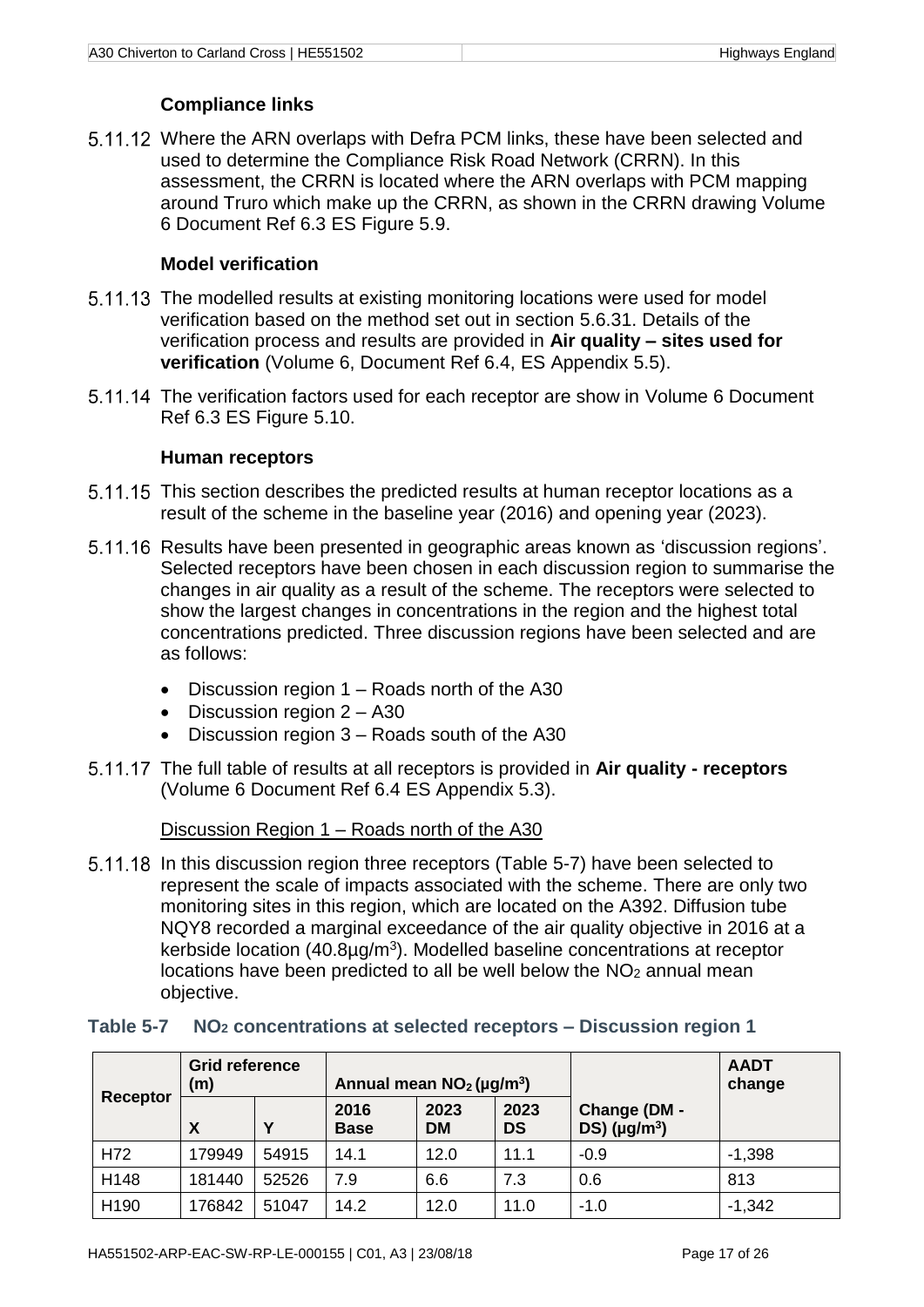## **Compliance links**

5.11.12 Where the ARN overlaps with Defra PCM links, these have been selected and used to determine the Compliance Risk Road Network (CRRN). In this assessment, the CRRN is located where the ARN overlaps with PCM mapping around Truro which make up the CRRN, as shown in the CRRN drawing Volume 6 Document Ref 6.3 ES Figure 5.9.

#### **Model verification**

- 5.11.13 The modelled results at existing monitoring locations were used for model verification based on the method set out in section [5.6.31.](#page-12-0) Details of the verification process and results are provided in **Air quality – sites used for verification** (Volume 6, Document Ref 6.4, ES Appendix 5.5).
- 5.11.14 The verification factors used for each receptor are show in Volume 6 Document Ref 6.3 ES Figure 5.10.

#### **Human receptors**

- 5.11.15 This section describes the predicted results at human receptor locations as a result of the scheme in the baseline year (2016) and opening year (2023).
- 5.11.16 Results have been presented in geographic areas known as 'discussion regions'. Selected receptors have been chosen in each discussion region to summarise the changes in air quality as a result of the scheme. The receptors were selected to show the largest changes in concentrations in the region and the highest total concentrations predicted. Three discussion regions have been selected and are as follows:
	- Discussion region 1 Roads north of the A30
	- Discussion region  $2 A30$
	- Discussion region 3 Roads south of the A30
- The full table of results at all receptors is provided in **Air quality - receptors** (Volume 6 Document Ref 6.4 ES Appendix 5.3).

Discussion Region 1 – Roads north of the A30

5.11.18 In this discussion region three receptors [\(Table 5-7\)](#page-22-0) have been selected to represent the scale of impacts associated with the scheme. There are only two monitoring sites in this region, which are located on the A392. Diffusion tube NQY8 recorded a marginal exceedance of the air quality objective in 2016 at a kerbside location  $(40.8\mu g/m^3)$ . Modelled baseline concentrations at receptor locations have been predicted to all be well below the  $NO<sub>2</sub>$  annual mean objective.

| Receptor | Grid reference<br>(m) |       | Annual mean $NO2(\mu g/m3)$                                   |      |                                                   |        | <b>AADT</b><br>change |
|----------|-----------------------|-------|---------------------------------------------------------------|------|---------------------------------------------------|--------|-----------------------|
|          | X                     | v     | 2023<br>2016<br>2023<br><b>DS</b><br><b>DM</b><br><b>Base</b> |      | Change (DM -<br>$DS$ ) ( $\mu$ g/m <sup>3</sup> ) |        |                       |
| H72      | 179949                | 54915 | 14.1                                                          | 12.0 | 11.1                                              | $-0.9$ | $-1,398$              |
| H148     | 181440                | 52526 | 7.9                                                           | 6.6  | 7.3                                               | 0.6    | 813                   |
| H190     | 176842                | 51047 | 14.2                                                          | 12.0 | 11.0                                              | $-1.0$ | $-1,342$              |

#### <span id="page-22-0"></span>**Table 5-7 NO<sup>2</sup> concentrations at selected receptors – Discussion region 1**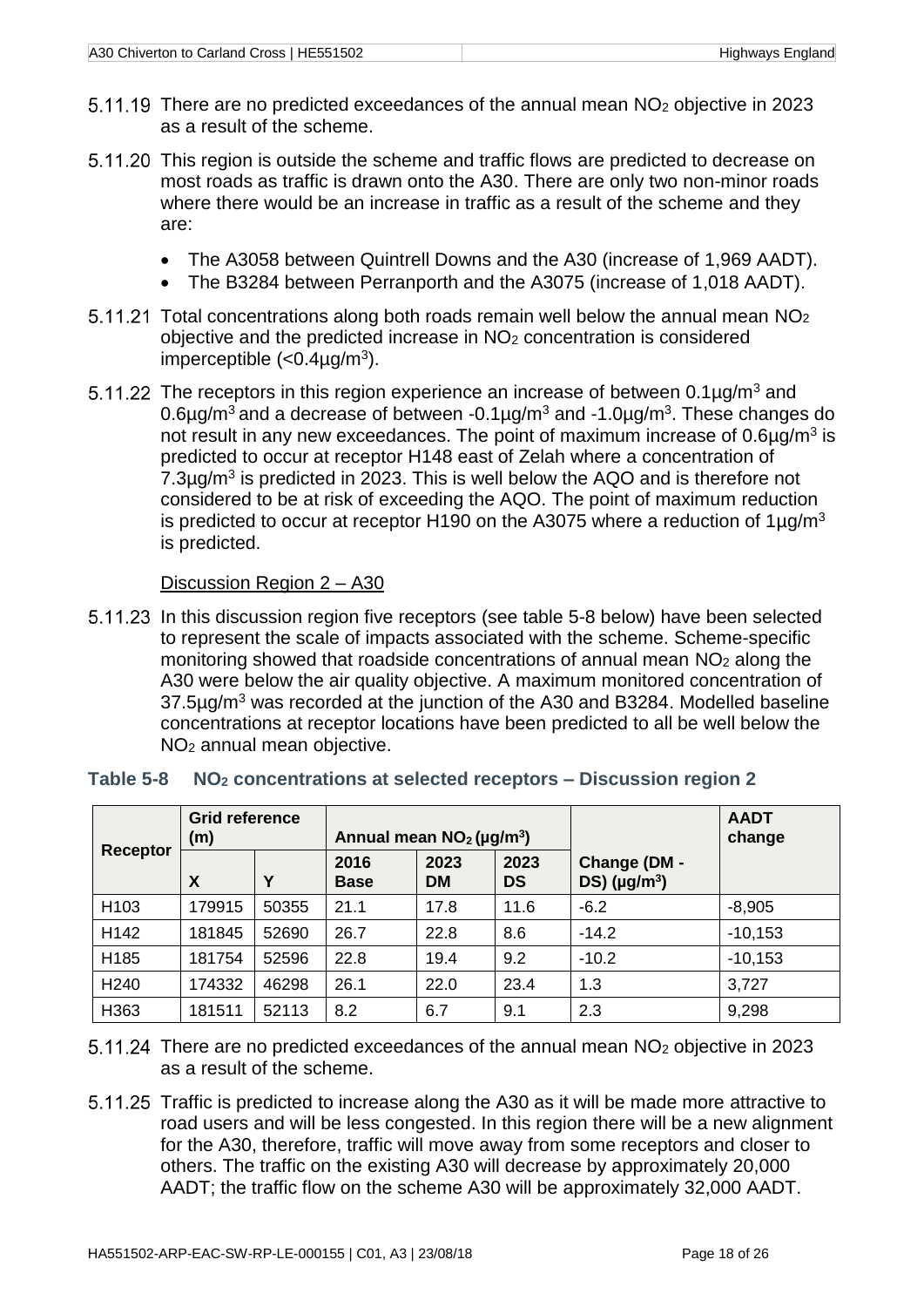- 5.11.19 There are no predicted exceedances of the annual mean NO<sub>2</sub> objective in 2023 as a result of the scheme.
- 5.11.20 This region is outside the scheme and traffic flows are predicted to decrease on most roads as traffic is drawn onto the A30. There are only two non-minor roads where there would be an increase in traffic as a result of the scheme and they are:
	- The A3058 between Quintrell Downs and the A30 (increase of 1,969 AADT).
	- The B3284 between Perranporth and the A3075 (increase of 1,018 AADT).
- $5.11.21$  Total concentrations along both roads remain well below the annual mean  $NO<sub>2</sub>$ objective and the predicted increase in NO<sup>2</sup> concentration is considered imperceptible  $\left\langle <0.4 \mu g/m^3 \right\rangle$ .
- 5.11.22 The receptors in this region experience an increase of between  $0.1\mu g/m^3$  and 0.6µg/m<sup>3</sup> and a decrease of between -0.1µg/m<sup>3</sup> and -1.0µg/m<sup>3</sup>. These changes do not result in any new exceedances. The point of maximum increase of  $0.6\mu$ g/m<sup>3</sup> is predicted to occur at receptor H148 east of Zelah where a concentration of  $7.3\mu$ g/m<sup>3</sup> is predicted in 2023. This is well below the AQO and is therefore not considered to be at risk of exceeding the AQO. The point of maximum reduction is predicted to occur at receptor H190 on the A3075 where a reduction of  $1\mu q/m^3$ is predicted.

#### Discussion Region 2 – A30

In this discussion region five receptors (see table 5-8 below) have been selected to represent the scale of impacts associated with the scheme. Scheme-specific monitoring showed that roadside concentrations of annual mean  $NO<sub>2</sub>$  along the A30 were below the air quality objective. A maximum monitored concentration of 37.5µg/m<sup>3</sup> was recorded at the junction of the A30 and B3284. Modelled baseline concentrations at receptor locations have been predicted to all be well below the NO<sup>2</sup> annual mean objective.

|                  | <b>Grid reference</b><br>(m) |       | Annual mean $NO2(\mu g/m3)$ |                   |                   |                                                   | <b>AADT</b><br>change |
|------------------|------------------------------|-------|-----------------------------|-------------------|-------------------|---------------------------------------------------|-----------------------|
| Receptor         | X                            | Υ     | 2016<br><b>Base</b>         | 2023<br><b>DM</b> | 2023<br><b>DS</b> | Change (DM -<br>$DS$ ) ( $\mu$ g/m <sup>3</sup> ) |                       |
| H <sub>103</sub> | 179915                       | 50355 | 21.1                        | 17.8              | 11.6              | $-6.2$                                            | $-8,905$              |
| H142             | 181845                       | 52690 | 26.7                        | 22.8              | 8.6               | $-14.2$                                           | $-10,153$             |
| H185             | 181754                       | 52596 | 22.8                        | 19.4              | 9.2               | $-10.2$                                           | $-10,153$             |
| H <sub>240</sub> | 174332                       | 46298 | 26.1                        | 22.0              | 23.4              | 1.3                                               | 3,727                 |
| H363             | 181511                       | 52113 | 8.2                         | 6.7               | 9.1               | 2.3                                               | 9,298                 |

#### <span id="page-23-0"></span>**Table 5-8 NO<sup>2</sup> concentrations at selected receptors – Discussion region 2**

5.11.24 There are no predicted exceedances of the annual mean NO<sub>2</sub> objective in 2023 as a result of the scheme.

5.11.25 Traffic is predicted to increase along the A30 as it will be made more attractive to road users and will be less congested. In this region there will be a new alignment for the A30, therefore, traffic will move away from some receptors and closer to others. The traffic on the existing A30 will decrease by approximately 20,000 AADT; the traffic flow on the scheme A30 will be approximately 32,000 AADT.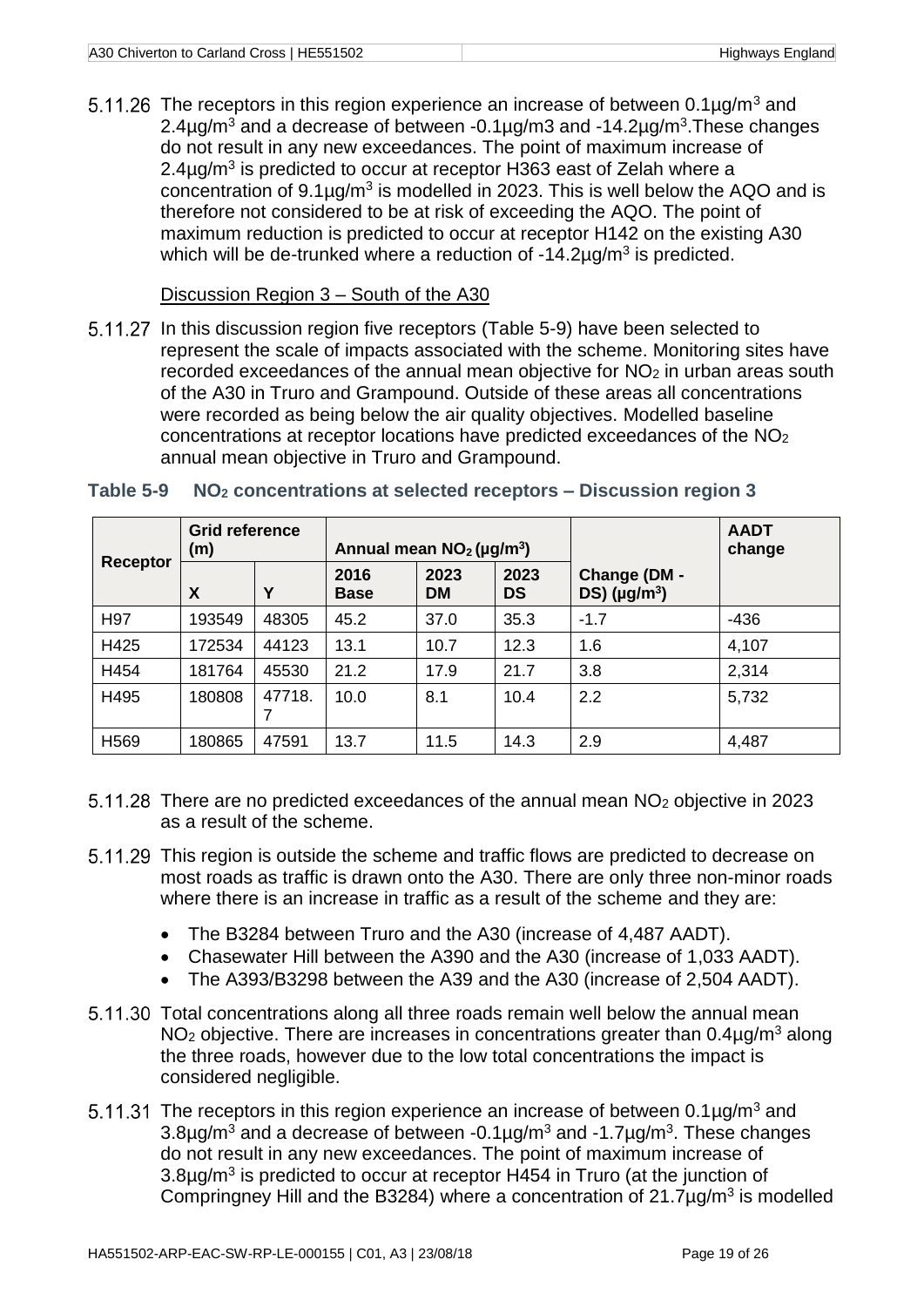5.11.26 The receptors in this region experience an increase of between  $0.1\mu g/m^3$  and 2.4 $\mu$ g/m<sup>3</sup> and a decrease of between -0.1 $\mu$ g/m3 and -14.2 $\mu$ g/m<sup>3</sup>. These changes do not result in any new exceedances. The point of maximum increase of 2.4 $\mu$ g/m<sup>3</sup> is predicted to occur at receptor H363 east of Zelah where a concentration of  $9.1\mu g/m^3$  is modelled in 2023. This is well below the AQO and is therefore not considered to be at risk of exceeding the AQO. The point of maximum reduction is predicted to occur at receptor H142 on the existing A30 which will be de-trunked where a reduction of  $-14.2\mu$ g/m<sup>3</sup> is predicted.

#### Discussion Region 3 – South of the A30

5.11.27 In this discussion region five receptors [\(Table 5-9\)](#page-24-0) have been selected to represent the scale of impacts associated with the scheme. Monitoring sites have recorded exceedances of the annual mean objective for NO<sub>2</sub> in urban areas south of the A30 in Truro and Grampound. Outside of these areas all concentrations were recorded as being below the air quality objectives. Modelled baseline concentrations at receptor locations have predicted exceedances of the NO<sup>2</sup> annual mean objective in Truro and Grampound.

|                  | <b>Grid reference</b><br>(m) |             | Annual mean $NO2(\mu g/m3)$ |                   |                   |                                            | <b>AADT</b><br>change |
|------------------|------------------------------|-------------|-----------------------------|-------------------|-------------------|--------------------------------------------|-----------------------|
| <b>Receptor</b>  | X                            | Υ           | 2016<br><b>Base</b>         | 2023<br><b>DM</b> | 2023<br><b>DS</b> | Change (DM -<br>$DS)$ (µg/m <sup>3</sup> ) |                       |
| H97              | 193549                       | 48305       | 45.2                        | 37.0              | 35.3              | $-1.7$                                     | $-436$                |
| H425             | 172534                       | 44123       | 13.1                        | 10.7              | 12.3              | 1.6                                        | 4,107                 |
| H454             | 181764                       | 45530       | 21.2                        | 17.9              | 21.7              | 3.8                                        | 2,314                 |
| H495             | 180808                       | 47718.<br>7 | 10.0                        | 8.1               | 10.4              | 2.2                                        | 5,732                 |
| H <sub>569</sub> | 180865                       | 47591       | 13.7                        | 11.5              | 14.3              | 2.9                                        | 4,487                 |

#### <span id="page-24-0"></span>**Table 5-9 NO<sup>2</sup> concentrations at selected receptors – Discussion region 3**

- 5.11.28 There are no predicted exceedances of the annual mean NO<sub>2</sub> objective in 2023 as a result of the scheme.
- 5.11.29 This region is outside the scheme and traffic flows are predicted to decrease on most roads as traffic is drawn onto the A30. There are only three non-minor roads where there is an increase in traffic as a result of the scheme and they are:
	- The B3284 between Truro and the A30 (increase of 4,487 AADT).
	- Chasewater Hill between the A390 and the A30 (increase of 1,033 AADT).
	- The A393/B3298 between the A39 and the A30 (increase of 2,504 AADT).
- 5.11.30 Total concentrations along all three roads remain well below the annual mean  $NO<sub>2</sub>$  objective. There are increases in concentrations greater than 0.4 $\mu$ g/m<sup>3</sup> along the three roads, however due to the low total concentrations the impact is considered negligible.
- 5.11.31 The receptors in this region experience an increase of between  $0.1\mu g/m^3$  and  $3.8\mu$ g/m<sup>3</sup> and a decrease of between -0.1 $\mu$ g/m<sup>3</sup> and -1.7 $\mu$ g/m<sup>3</sup>. These changes do not result in any new exceedances. The point of maximum increase of  $3.8\mu$ g/m<sup>3</sup> is predicted to occur at receptor H454 in Truro (at the junction of Compringney Hill and the B3284) where a concentration of  $21.7 \mu g/m<sup>3</sup>$  is modelled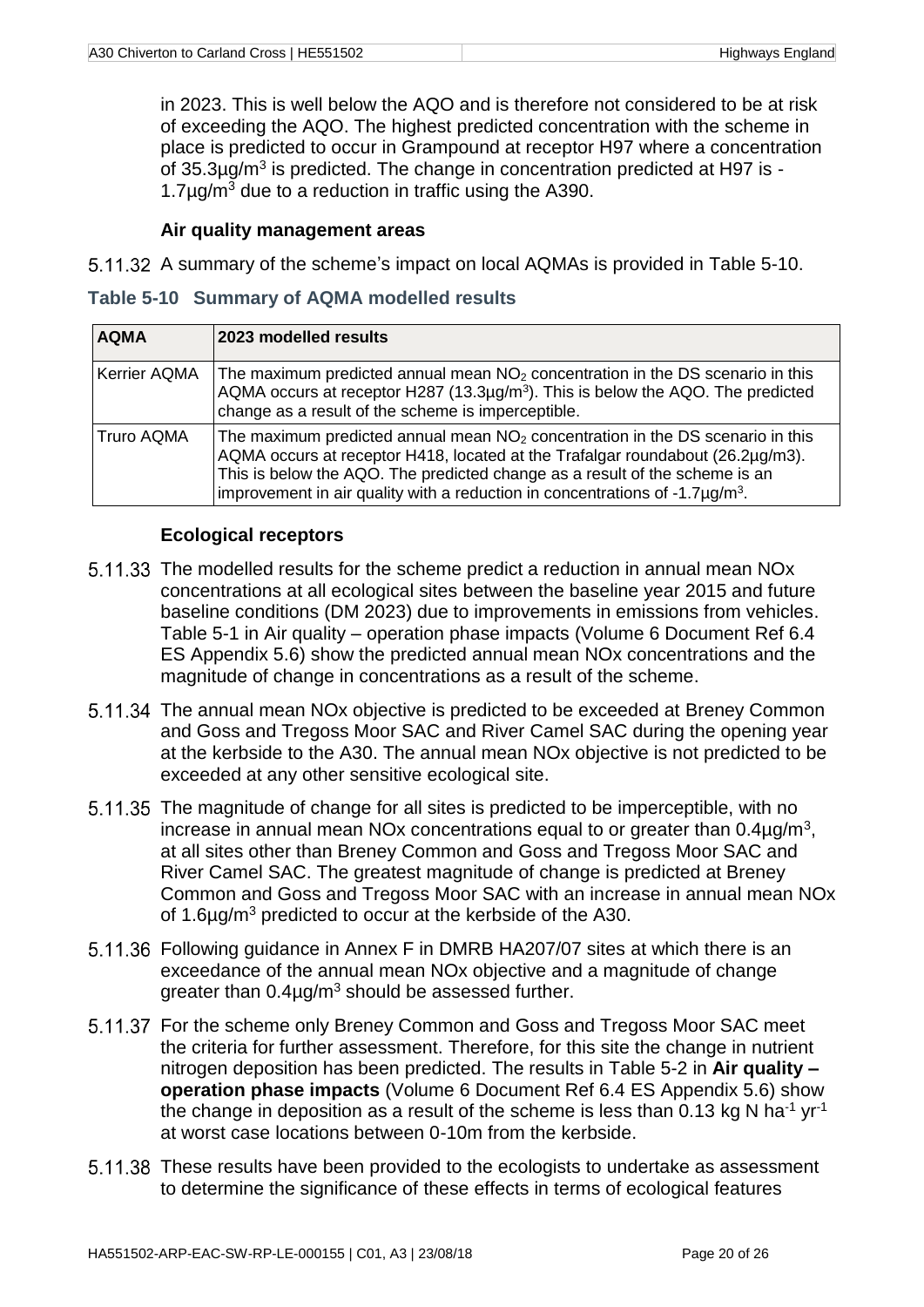in 2023. This is well below the AQO and is therefore not considered to be at risk of exceeding the AQO. The highest predicted concentration with the scheme in place is predicted to occur in Grampound at receptor H97 where a concentration of  $35.3\mu$ g/m<sup>3</sup> is predicted. The change in concentration predicted at H97 is -1.7 $\mu$ g/m<sup>3</sup> due to a reduction in traffic using the A390.

#### **Air quality management areas**

5.11.32 A summary of the scheme's impact on local AQMAs is provided in [Table 5-10.](#page-25-0)

<span id="page-25-0"></span>

| Table 5-10 Summary of AQMA modelled results |  |  |  |  |  |
|---------------------------------------------|--|--|--|--|--|
|---------------------------------------------|--|--|--|--|--|

| <b>AQMA</b>         | 2023 modelled results                                                                                                                                                                                                                                                                                                                              |
|---------------------|----------------------------------------------------------------------------------------------------------------------------------------------------------------------------------------------------------------------------------------------------------------------------------------------------------------------------------------------------|
| <b>Kerrier AQMA</b> | The maximum predicted annual mean $NO2$ concentration in the DS scenario in this<br>AQMA occurs at receptor H287 (13.3 $\mu$ g/m <sup>3</sup> ). This is below the AQO. The predicted<br>change as a result of the scheme is imperceptible.                                                                                                        |
| <b>Truro AQMA</b>   | The maximum predicted annual mean $NO2$ concentration in the DS scenario in this<br>AQMA occurs at receptor H418, located at the Trafalgar roundabout (26.2µg/m3).<br>This is below the AQO. The predicted change as a result of the scheme is an<br>improvement in air quality with a reduction in concentrations of $-1.7\mu$ g/m <sup>3</sup> . |

#### **Ecological receptors**

- 5.11.33 The modelled results for the scheme predict a reduction in annual mean NO<sub>x</sub> concentrations at all ecological sites between the baseline year 2015 and future baseline conditions (DM 2023) due to improvements in emissions from vehicles. Table 5-1 in Air quality – operation phase impacts (Volume 6 Document Ref 6.4 ES Appendix 5.6) show the predicted annual mean NOx concentrations and the magnitude of change in concentrations as a result of the scheme.
- 5.11.34 The annual mean NOx objective is predicted to be exceeded at Breney Common and Goss and Tregoss Moor SAC and River Camel SAC during the opening year at the kerbside to the A30. The annual mean NOx objective is not predicted to be exceeded at any other sensitive ecological site.
- 5.11.35 The magnitude of change for all sites is predicted to be imperceptible, with no increase in annual mean NOx concentrations equal to or greater than  $0.4 \mu g/m^3$ , at all sites other than Breney Common and Goss and Tregoss Moor SAC and River Camel SAC. The greatest magnitude of change is predicted at Breney Common and Goss and Tregoss Moor SAC with an increase in annual mean NOx of 1.6µg/m<sup>3</sup> predicted to occur at the kerbside of the A30.
- 5.11.36 Following guidance in Annex F in DMRB HA207/07 sites at which there is an exceedance of the annual mean NOx objective and a magnitude of change greater than  $0.4\mu g/m^3$  should be assessed further.
- 5.11.37 For the scheme only Breney Common and Goss and Tregoss Moor SAC meet the criteria for further assessment. Therefore, for this site the change in nutrient nitrogen deposition has been predicted. The results in Table 5-2 in **Air quality – operation phase impacts** (Volume 6 Document Ref 6.4 ES Appendix 5.6) show the change in deposition as a result of the scheme is less than 0.13 kg N ha<sup>-1</sup> yr<sup>-1</sup> at worst case locations between 0-10m from the kerbside.
- These results have been provided to the ecologists to undertake as assessment to determine the significance of these effects in terms of ecological features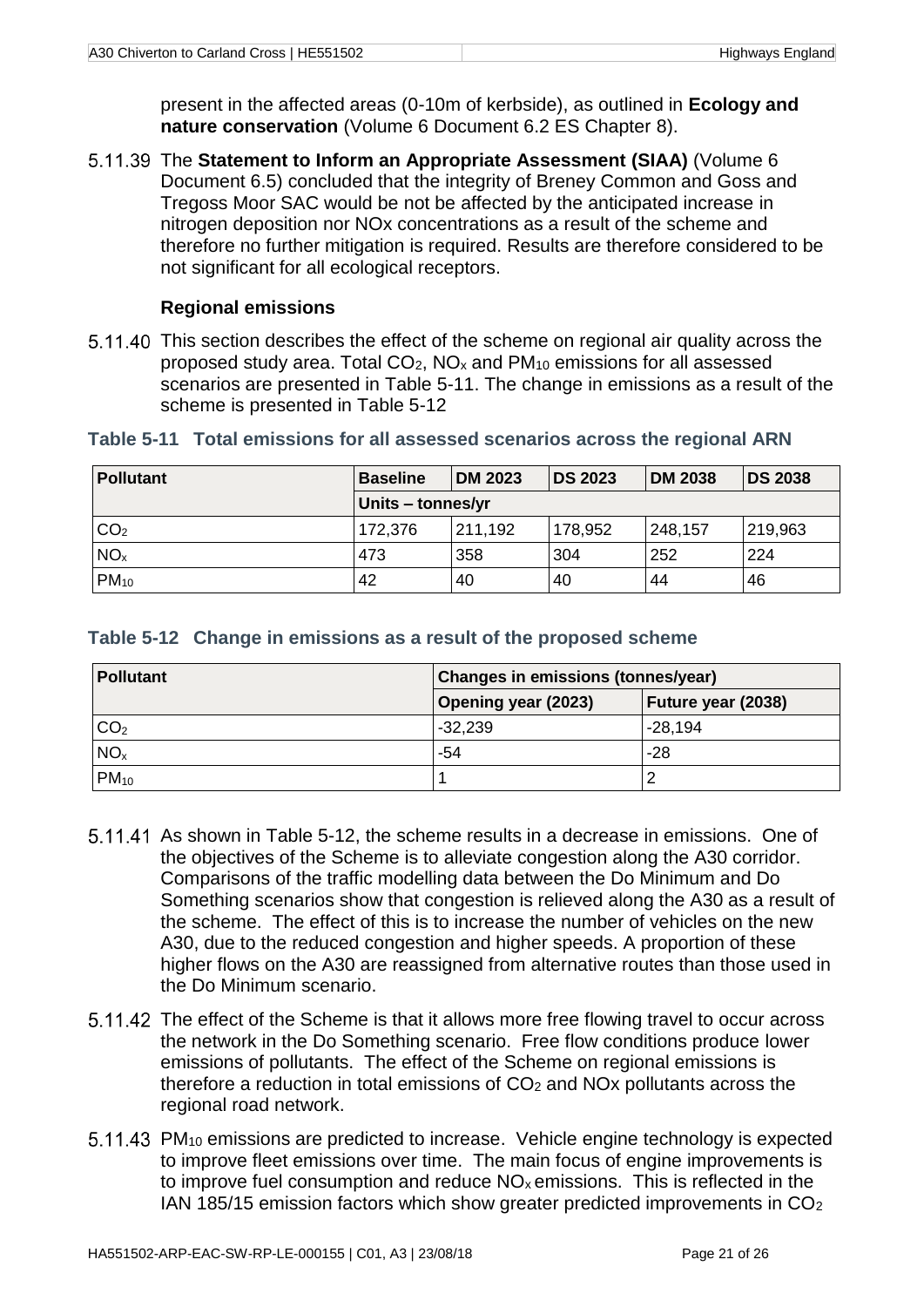present in the affected areas (0-10m of kerbside), as outlined in **Ecology and nature conservation** (Volume 6 Document 6.2 ES Chapter 8).

5.11.39 The Statement to Inform an Appropriate Assessment (SIAA) (Volume 6 Document 6.5) concluded that the integrity of Breney Common and Goss and Tregoss Moor SAC would be not be affected by the anticipated increase in nitrogen deposition nor NOx concentrations as a result of the scheme and therefore no further mitigation is required. Results are therefore considered to be not significant for all ecological receptors.

#### **Regional emissions**

5.11.40 This section describes the effect of the scheme on regional air quality across the proposed study area. Total  $CO<sub>2</sub>$ , NO<sub>x</sub> and PM<sub>10</sub> emissions for all assessed scenarios are presented in [Table 5-11.](#page-26-0) The change in emissions as a result of the scheme is presented in Table 5-12

| <b>Pollutant</b>  | <b>Baseline</b> | <b>DM 2023</b> | <b>DS 2023</b> | <b>DM 2038</b> | <b>DS 2038</b> |
|-------------------|-----------------|----------------|----------------|----------------|----------------|
| Units - tonnes/yr |                 |                |                |                |                |
| CO <sub>2</sub>   | 172,376         | 211,192        | 178,952        | 248,157        | 219,963        |
| NO <sub>x</sub>   | 473             | 358            | 304            | 252            | 224            |
| $PM_{10}$         | 42              | 40             | 40             | 44             | 46             |

#### <span id="page-26-0"></span>**Table 5-11 Total emissions for all assessed scenarios across the regional ARN**

<span id="page-26-1"></span>

| Table 5-12 Change in emissions as a result of the proposed scheme |  |
|-------------------------------------------------------------------|--|
|-------------------------------------------------------------------|--|

| Pollutant       | <b>Changes in emissions (tonnes/year)</b> |                    |  |  |
|-----------------|-------------------------------------------|--------------------|--|--|
|                 | <b>Opening year (2023)</b>                | Future year (2038) |  |  |
| CO <sub>2</sub> | $-32,239$                                 | $-28,194$          |  |  |
| NO <sub>x</sub> | -54                                       | -28                |  |  |
| $PM_{10}$       |                                           |                    |  |  |

- 5.11.41 As shown in Table 5-12, the scheme results in a decrease in emissions. One of the objectives of the Scheme is to alleviate congestion along the A30 corridor. Comparisons of the traffic modelling data between the Do Minimum and Do Something scenarios show that congestion is relieved along the A30 as a result of the scheme. The effect of this is to increase the number of vehicles on the new A30, due to the reduced congestion and higher speeds. A proportion of these higher flows on the A30 are reassigned from alternative routes than those used in the Do Minimum scenario.
- 5.11.42 The effect of the Scheme is that it allows more free flowing travel to occur across the network in the Do Something scenario. Free flow conditions produce lower emissions of pollutants. The effect of the Scheme on regional emissions is therefore a reduction in total emissions of  $CO<sub>2</sub>$  and NO<sub>x</sub> pollutants across the regional road network.
- 5.11.43 PM<sub>10</sub> emissions are predicted to increase. Vehicle engine technology is expected to improve fleet emissions over time. The main focus of engine improvements is to improve fuel consumption and reduce  $NO<sub>x</sub>$  emissions. This is reflected in the IAN 185/15 emission factors which show greater predicted improvements in CO2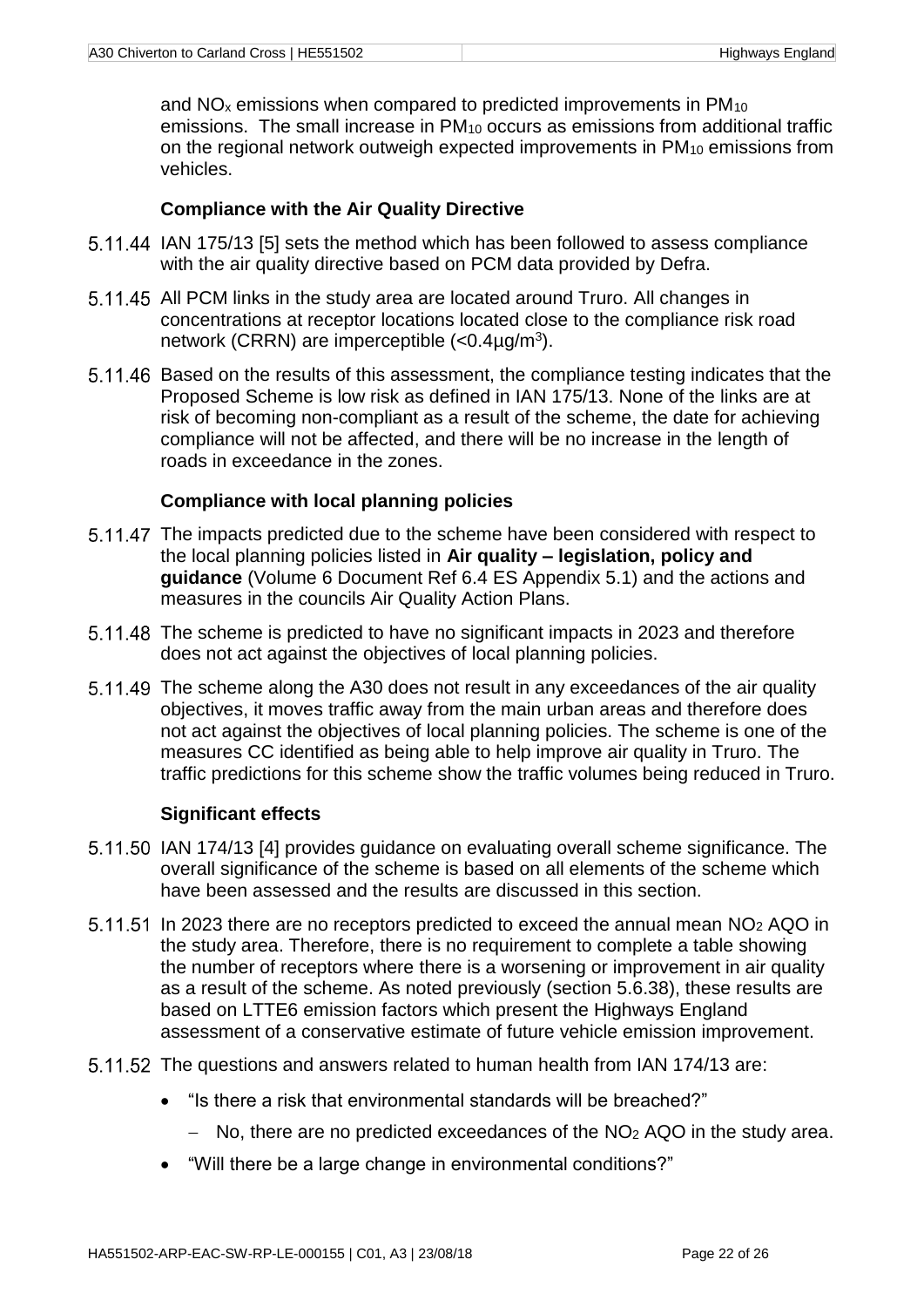and NO<sub>x</sub> emissions when compared to predicted improvements in PM<sub>10</sub> emissions. The small increase in PM<sup>10</sup> occurs as emissions from additional traffic on the regional network outweigh expected improvements in PM<sub>10</sub> emissions from vehicles.

#### **Compliance with the Air Quality Directive**

- 5.11.44 IAN 175/13 [5] sets the method which has been followed to assess compliance with the air quality directive based on PCM data provided by Defra.
- 5.11.45 All PCM links in the study area are located around Truro. All changes in concentrations at receptor locations located close to the compliance risk road network (CRRN) are imperceptible (<0.4µg/m<sup>3</sup>).
- Based on the results of this assessment, the compliance testing indicates that the Proposed Scheme is low risk as defined in IAN 175/13. None of the links are at risk of becoming non-compliant as a result of the scheme, the date for achieving compliance will not be affected, and there will be no increase in the length of roads in exceedance in the zones.

#### **Compliance with local planning policies**

- 5.11.47 The impacts predicted due to the scheme have been considered with respect to the local planning policies listed in **Air quality – legislation, policy and guidance** (Volume 6 Document Ref 6.4 ES Appendix 5.1) and the actions and measures in the councils Air Quality Action Plans.
- 5.11.48 The scheme is predicted to have no significant impacts in 2023 and therefore does not act against the objectives of local planning policies.
- 5.11.49 The scheme along the A30 does not result in any exceedances of the air quality objectives, it moves traffic away from the main urban areas and therefore does not act against the objectives of local planning policies. The scheme is one of the measures CC identified as being able to help improve air quality in Truro. The traffic predictions for this scheme show the traffic volumes being reduced in Truro.

#### **Significant effects**

- 5.11.50 IAN 174/13 [4] provides quidance on evaluating overall scheme significance. The overall significance of the scheme is based on all elements of the scheme which have been assessed and the results are discussed in this section.
- 5.11.51 In 2023 there are no receptors predicted to exceed the annual mean NO<sub>2</sub> AQO in the study area. Therefore, there is no requirement to complete a table showing the number of receptors where there is a worsening or improvement in air quality as a result of the scheme. As noted previously (section [5.6.38\)](#page-13-0), these results are based on LTTE6 emission factors which present the Highways England assessment of a conservative estimate of future vehicle emission improvement.
- 5.11.52 The questions and answers related to human health from IAN 174/13 are:
	- "Is there a risk that environmental standards will be breached?"
		- $-$  No, there are no predicted exceedances of the NO<sub>2</sub> AQO in the study area.
	- "Will there be a large change in environmental conditions?"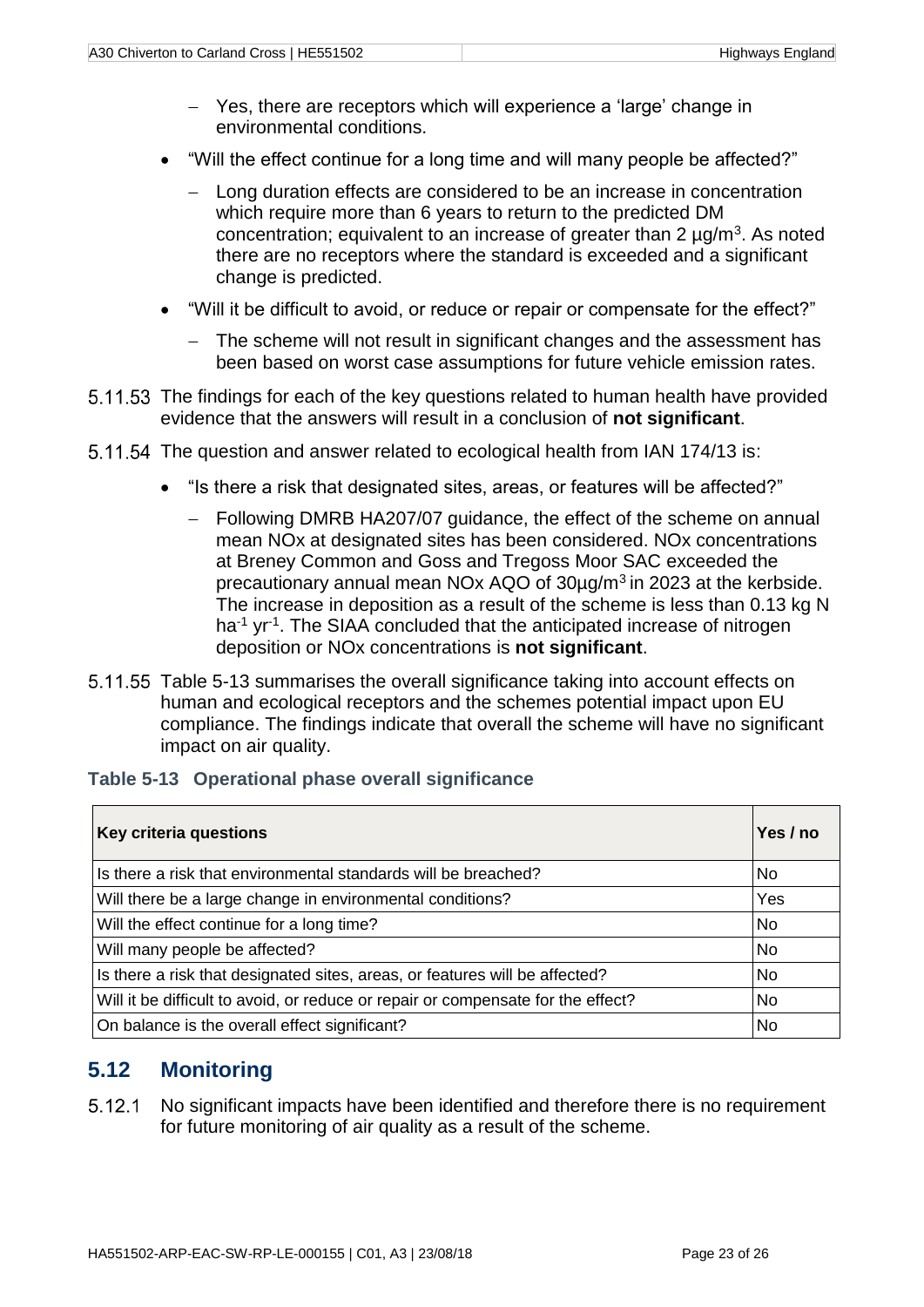- Yes, there are receptors which will experience a 'large' change in environmental conditions.
- "Will the effect continue for a long time and will many people be affected?"
	- Long duration effects are considered to be an increase in concentration which require more than 6 years to return to the predicted DM concentration; equivalent to an increase of greater than  $2 \mu g/m^3$ . As noted there are no receptors where the standard is exceeded and a significant change is predicted.
- "Will it be difficult to avoid, or reduce or repair or compensate for the effect?"
	- The scheme will not result in significant changes and the assessment has been based on worst case assumptions for future vehicle emission rates.
- 5.11.53 The findings for each of the key questions related to human health have provided evidence that the answers will result in a conclusion of **not significant**.
- 5.11.54 The question and answer related to ecological health from IAN 174/13 is:
	- "Is there a risk that designated sites, areas, or features will be affected?"
		- Following DMRB HA207/07 guidance, the effect of the scheme on annual mean NOx at designated sites has been considered. NOx concentrations at Breney Common and Goss and Tregoss Moor SAC exceeded the precautionary annual mean NOx AQO of 30µg/m<sup>3</sup> in 2023 at the kerbside. The increase in deposition as a result of the scheme is less than 0.13 kg N ha<sup>-1</sup> yr<sup>-1</sup>. The SIAA concluded that the anticipated increase of nitrogen deposition or NOx concentrations is **not significant**.
- 5.11.55 [Table 5-13](#page-28-1) summarises the overall significance taking into account effects on human and ecological receptors and the schemes potential impact upon EU compliance. The findings indicate that overall the scheme will have no significant impact on air quality.

#### <span id="page-28-1"></span>**Table 5-13 Operational phase overall significance**

| Key criteria questions                                                           | Yes / no |
|----------------------------------------------------------------------------------|----------|
| Is there a risk that environmental standards will be breached?                   | No       |
| Will there be a large change in environmental conditions?                        | Yes      |
| Will the effect continue for a long time?                                        | No       |
| Will many people be affected?                                                    | No       |
| Is there a risk that designated sites, areas, or features will be affected?      | No       |
| Will it be difficult to avoid, or reduce or repair or compensate for the effect? | No       |
| On balance is the overall effect significant?                                    | No       |

## <span id="page-28-0"></span>**5.12 Monitoring**

 $5.12.1$ No significant impacts have been identified and therefore there is no requirement for future monitoring of air quality as a result of the scheme.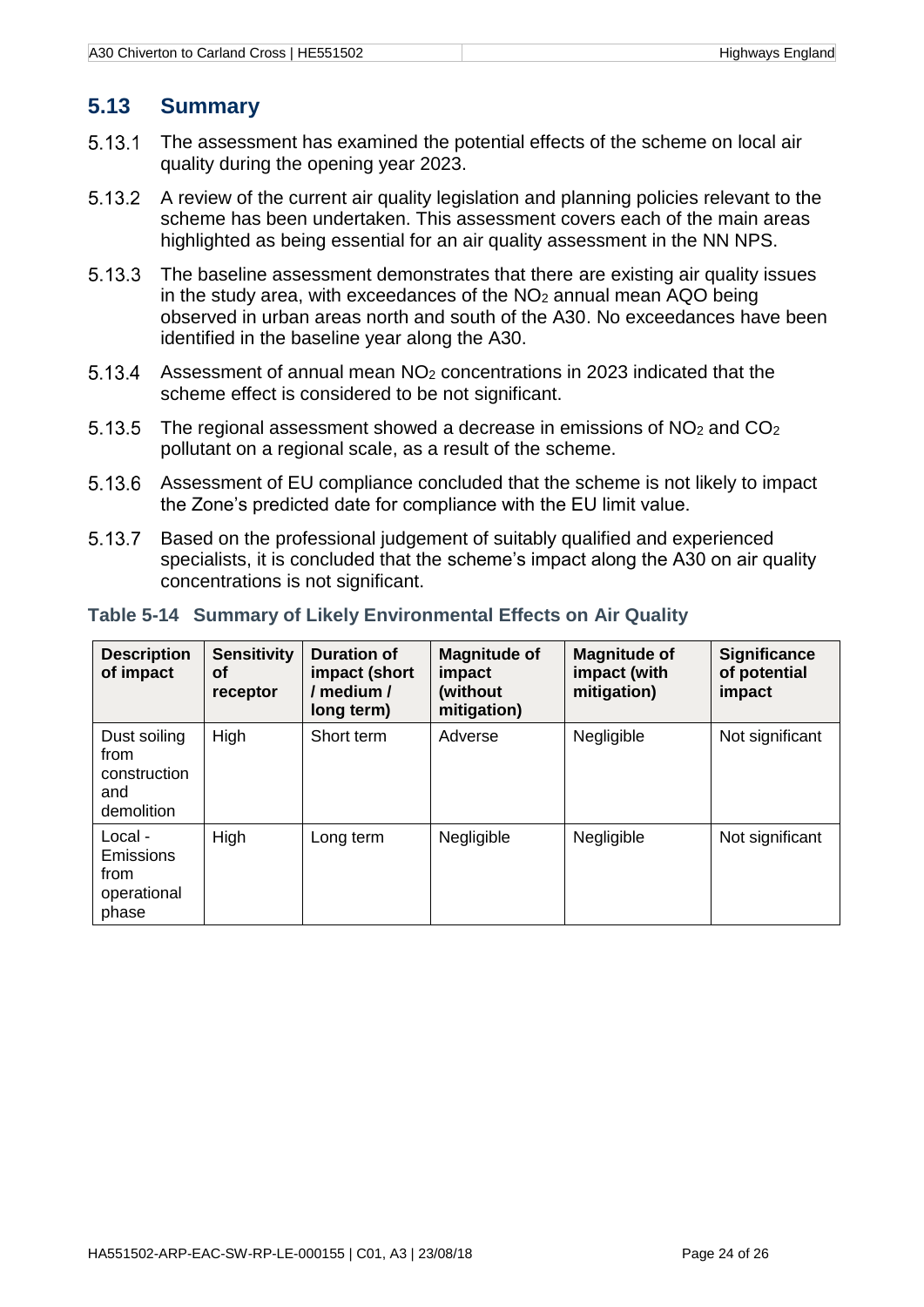# <span id="page-29-0"></span>**5.13 Summary**

- 5.13.1 The assessment has examined the potential effects of the scheme on local air quality during the opening year 2023.
- 5.13.2 A review of the current air quality legislation and planning policies relevant to the scheme has been undertaken. This assessment covers each of the main areas highlighted as being essential for an air quality assessment in the NN NPS.
- 5.13.3 The baseline assessment demonstrates that there are existing air quality issues in the study area, with exceedances of the NO<sub>2</sub> annual mean AQO being observed in urban areas north and south of the A30. No exceedances have been identified in the baseline year along the A30.
- 5.13.4 Assessment of annual mean NO<sup>2</sup> concentrations in 2023 indicated that the scheme effect is considered to be not significant.
- 5.13.5 The regional assessment showed a decrease in emissions of NO<sup>2</sup> and CO<sup>2</sup> pollutant on a regional scale, as a result of the scheme.
- 5.13.6 Assessment of EU compliance concluded that the scheme is not likely to impact the Zone's predicted date for compliance with the EU limit value.
- 5.13.7 Based on the professional judgement of suitably qualified and experienced specialists, it is concluded that the scheme's impact along the A30 on air quality concentrations is not significant.

| <b>Description</b><br>of impact                             | <b>Sensitivity</b><br>Οf<br>receptor | <b>Duration of</b><br>impact (short<br>/ medium /<br>long term) | <b>Magnitude of</b><br>impact<br>(without)<br>mitigation) | <b>Magnitude of</b><br>impact (with<br>mitigation) | <b>Significance</b><br>of potential<br>impact |
|-------------------------------------------------------------|--------------------------------------|-----------------------------------------------------------------|-----------------------------------------------------------|----------------------------------------------------|-----------------------------------------------|
| Dust soiling<br>from<br>construction<br>and<br>demolition   | High                                 | Short term                                                      | Adverse                                                   | Negligible                                         | Not significant                               |
| Local -<br><b>Emissions</b><br>from<br>operational<br>phase | High                                 | Long term                                                       | Negligible                                                | Negligible                                         | Not significant                               |

#### <span id="page-29-1"></span>**Table 5-14 Summary of Likely Environmental Effects on Air Quality**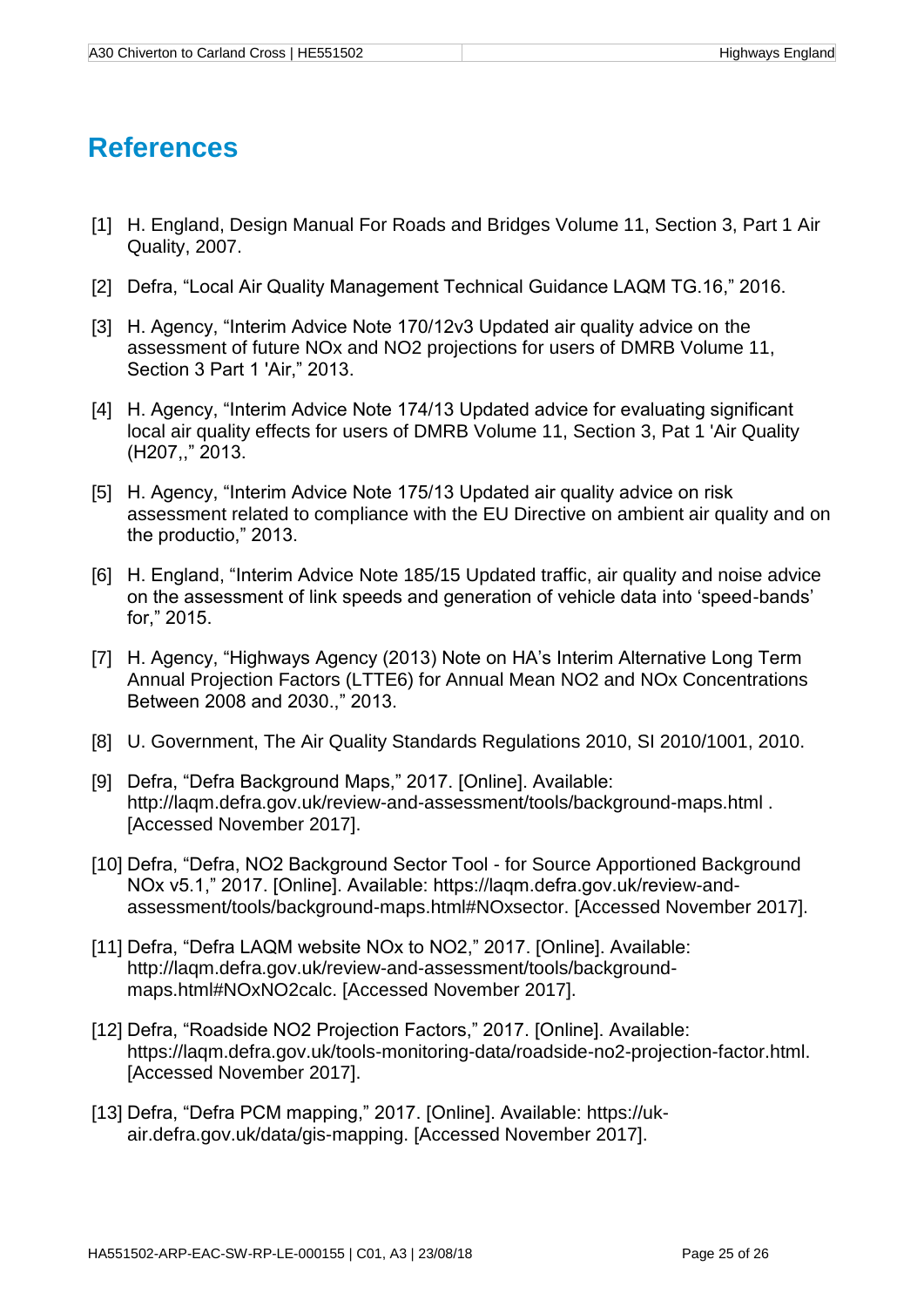# **References**

- [1] H. England, Design Manual For Roads and Bridges Volume 11, Section 3, Part 1 Air Quality, 2007.
- [2] Defra, "Local Air Quality Management Technical Guidance LAQM TG.16," 2016.
- [3] H. Agency, "Interim Advice Note 170/12v3 Updated air quality advice on the assessment of future NOx and NO2 projections for users of DMRB Volume 11, Section 3 Part 1 'Air," 2013.
- [4] H. Agency, "Interim Advice Note 174/13 Updated advice for evaluating significant local air quality effects for users of DMRB Volume 11, Section 3, Pat 1 'Air Quality (H207,," 2013.
- [5] H. Agency, "Interim Advice Note 175/13 Updated air quality advice on risk assessment related to compliance with the EU Directive on ambient air quality and on the productio," 2013.
- [6] H. England, "Interim Advice Note 185/15 Updated traffic, air quality and noise advice on the assessment of link speeds and generation of vehicle data into 'speed-bands' for," 2015.
- [7] H. Agency, "Highways Agency (2013) Note on HA's Interim Alternative Long Term Annual Projection Factors (LTTE6) for Annual Mean NO2 and NOx Concentrations Between 2008 and 2030.," 2013.
- [8] U. Government, The Air Quality Standards Regulations 2010, SI 2010/1001, 2010.
- [9] Defra, "Defra Background Maps," 2017. [Online]. Available: http://laqm.defra.gov.uk/review-and-assessment/tools/background-maps.html . [Accessed November 2017].
- [10] Defra, "Defra, NO2 Background Sector Tool for Source Apportioned Background NOx v5.1," 2017. [Online]. Available: https://laqm.defra.gov.uk/review-andassessment/tools/background-maps.html#NOxsector. [Accessed November 2017].
- [11] Defra, "Defra LAQM website NOx to NO2," 2017. [Online]. Available: http://laqm.defra.gov.uk/review-and-assessment/tools/backgroundmaps.html#NOxNO2calc. [Accessed November 2017].
- [12] Defra, "Roadside NO2 Projection Factors," 2017. [Online]. Available: https://laqm.defra.gov.uk/tools-monitoring-data/roadside-no2-projection-factor.html. [Accessed November 2017].
- [13] Defra, "Defra PCM mapping," 2017. [Online]. Available: https://ukair.defra.gov.uk/data/gis-mapping. [Accessed November 2017].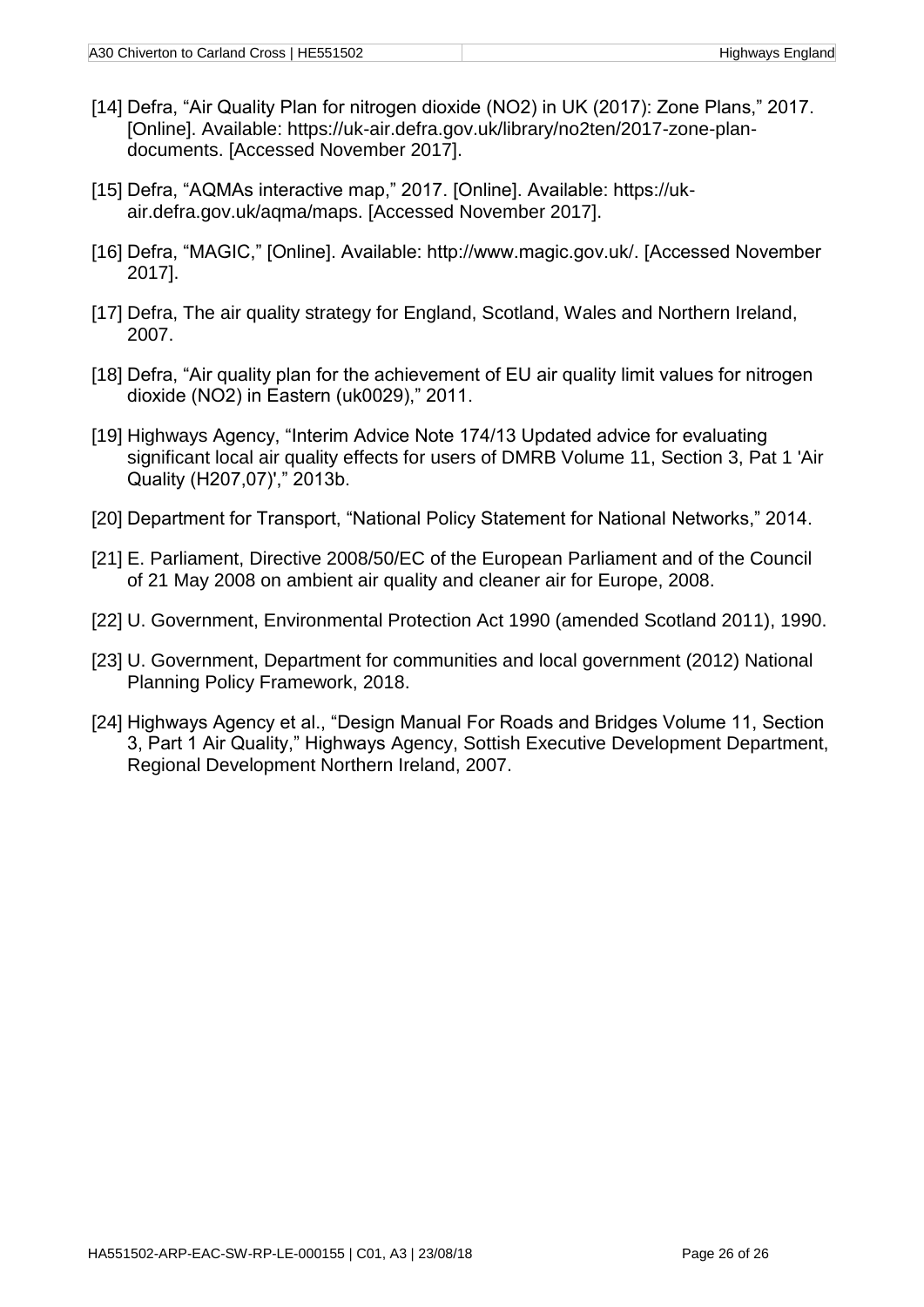- [14] Defra, "Air Quality Plan for nitrogen dioxide (NO2) in UK (2017): Zone Plans," 2017. [Online]. Available: https://uk-air.defra.gov.uk/library/no2ten/2017-zone-plandocuments. [Accessed November 2017].
- [15] Defra, "AQMAs interactive map," 2017. [Online]. Available: https://ukair.defra.gov.uk/aqma/maps. [Accessed November 2017].
- [16] Defra, "MAGIC," [Online]. Available: http://www.magic.gov.uk/. [Accessed November 2017].
- [17] Defra, The air quality strategy for England, Scotland, Wales and Northern Ireland, 2007.
- [18] Defra, "Air quality plan for the achievement of EU air quality limit values for nitrogen dioxide (NO2) in Eastern (uk0029)," 2011.
- [19] Highways Agency, "Interim Advice Note 174/13 Updated advice for evaluating significant local air quality effects for users of DMRB Volume 11, Section 3, Pat 1 'Air Quality (H207,07)'," 2013b.
- [20] Department for Transport, "National Policy Statement for National Networks," 2014.
- [21] E. Parliament, Directive 2008/50/EC of the European Parliament and of the Council of 21 May 2008 on ambient air quality and cleaner air for Europe, 2008.
- [22] U. Government, Environmental Protection Act 1990 (amended Scotland 2011), 1990.
- [23] U. Government, Department for communities and local government (2012) National Planning Policy Framework, 2018.
- [24] Highways Agency et al., "Design Manual For Roads and Bridges Volume 11, Section 3, Part 1 Air Quality," Highways Agency, Sottish Executive Development Department, Regional Development Northern Ireland, 2007.